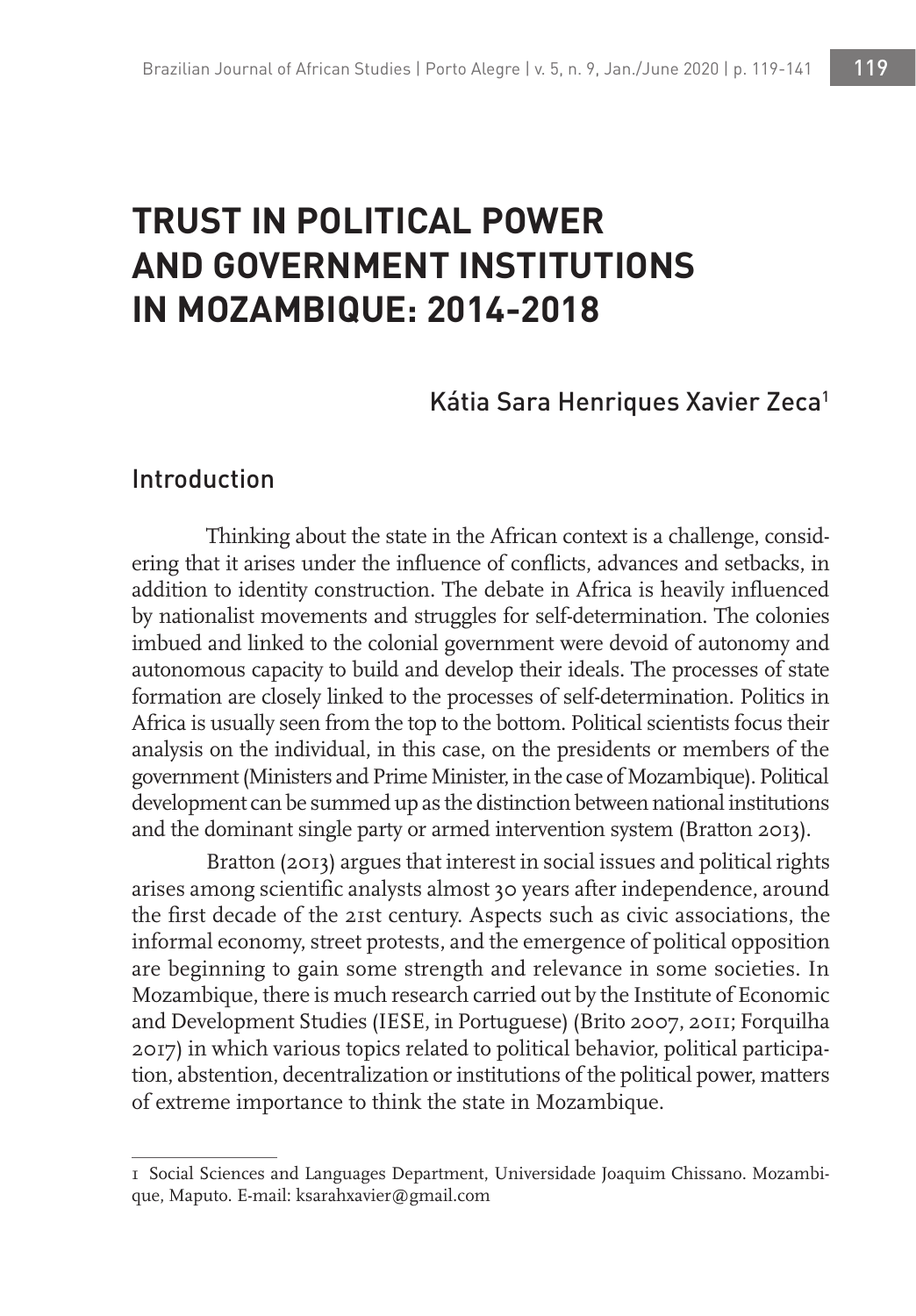# **TRUST IN POLITICAL POWER AND GOVERNMENT INSTITUTIONS IN MOZAMBIQUE: 2014-2018**

### Kátia Sara Henriques Xavier Zeca<sup>1</sup>

### Introduction

Thinking about the state in the African context is a challenge, considering that it arises under the influence of conflicts, advances and setbacks, in addition to identity construction. The debate in Africa is heavily influenced by nationalist movements and struggles for self-determination. The colonies imbued and linked to the colonial government were devoid of autonomy and autonomous capacity to build and develop their ideals. The processes of state formation are closely linked to the processes of self-determination. Politics in Africa is usually seen from the top to the bottom. Political scientists focus their analysis on the individual, in this case, on the presidents or members of the government (Ministers and Prime Minister, in the case of Mozambique). Political development can be summed up as the distinction between national institutions and the dominant single party or armed intervention system (Bratton 2013).

Bratton (2013) argues that interest in social issues and political rights arises among scientific analysts almost 30 years after independence, around the first decade of the 21st century. Aspects such as civic associations, the informal economy, street protests, and the emergence of political opposition are beginning to gain some strength and relevance in some societies. In Mozambique, there is much research carried out by the Institute of Economic and Development Studies (IESE, in Portuguese) (Brito 2007, 2011; Forquilha 2017) in which various topics related to political behavior, political participation, abstention, decentralization or institutions of the political power, matters of extreme importance to think the state in Mozambique.

<sup>1</sup> Social Sciences and Languages Department, Universidade Joaquim Chissano. Mozambique, Maputo. E-mail: ksarahxavier@gmail.com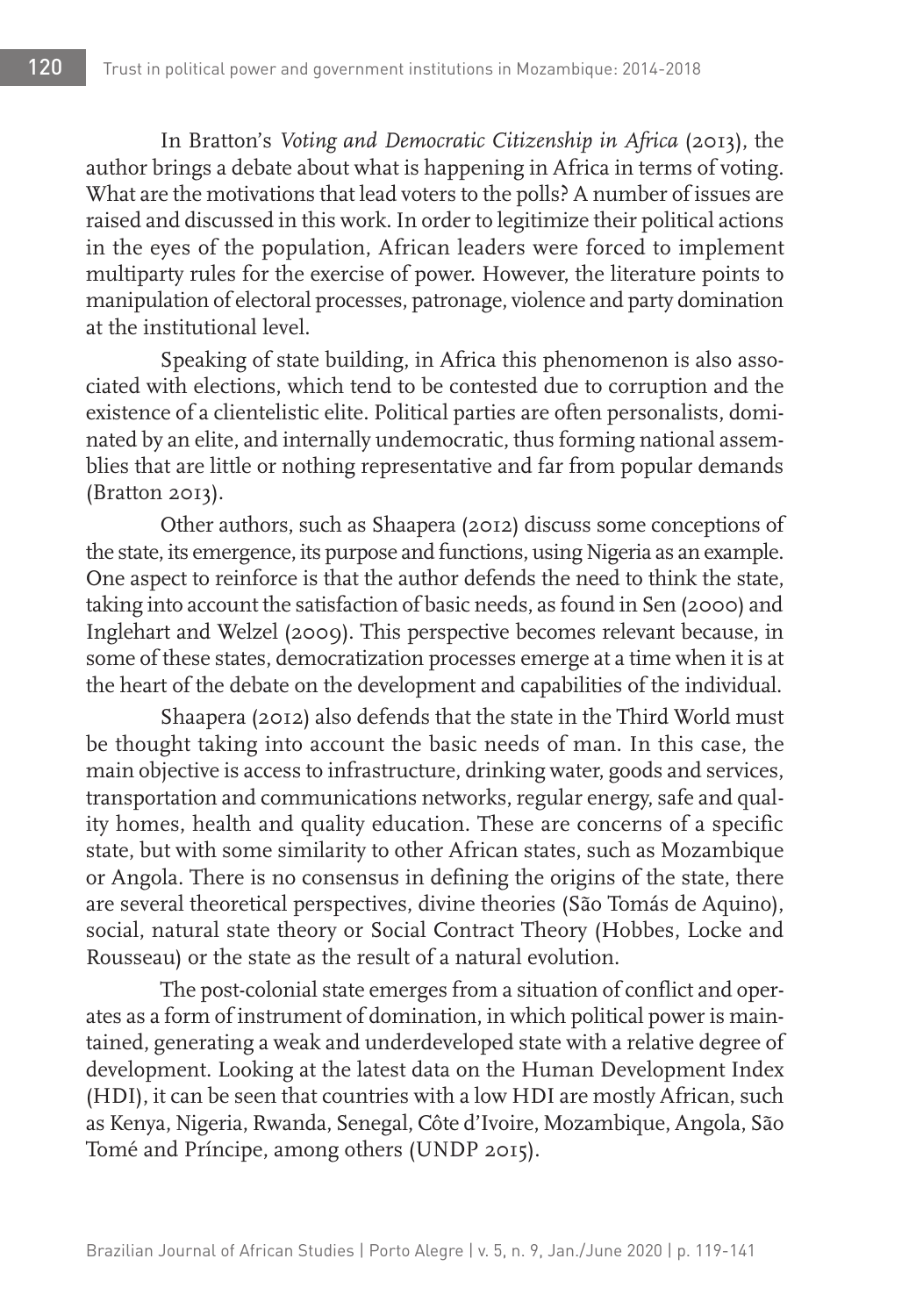In Bratton's *Voting and Democratic Citizenship in Africa* (2013), the author brings a debate about what is happening in Africa in terms of voting. What are the motivations that lead voters to the polls? A number of issues are raised and discussed in this work. In order to legitimize their political actions in the eyes of the population, African leaders were forced to implement multiparty rules for the exercise of power. However, the literature points to manipulation of electoral processes, patronage, violence and party domination at the institutional level.

Speaking of state building, in Africa this phenomenon is also associated with elections, which tend to be contested due to corruption and the existence of a clientelistic elite. Political parties are often personalists, dominated by an elite, and internally undemocratic, thus forming national assemblies that are little or nothing representative and far from popular demands (Bratton 2013).

Other authors, such as Shaapera (2012) discuss some conceptions of the state, its emergence, its purpose and functions, using Nigeria as an example. One aspect to reinforce is that the author defends the need to think the state, taking into account the satisfaction of basic needs, as found in Sen (2000) and Inglehart and Welzel (2009). This perspective becomes relevant because, in some of these states, democratization processes emerge at a time when it is at the heart of the debate on the development and capabilities of the individual.

Shaapera (2012) also defends that the state in the Third World must be thought taking into account the basic needs of man. In this case, the main objective is access to infrastructure, drinking water, goods and services, transportation and communications networks, regular energy, safe and quality homes, health and quality education. These are concerns of a specific state, but with some similarity to other African states, such as Mozambique or Angola. There is no consensus in defining the origins of the state, there are several theoretical perspectives, divine theories (São Tomás de Aquino), social, natural state theory or Social Contract Theory (Hobbes, Locke and Rousseau) or the state as the result of a natural evolution.

The post-colonial state emerges from a situation of conflict and operates as a form of instrument of domination, in which political power is maintained, generating a weak and underdeveloped state with a relative degree of development. Looking at the latest data on the Human Development Index (HDI), it can be seen that countries with a low HDI are mostly African, such as Kenya, Nigeria, Rwanda, Senegal, Côte d'Ivoire, Mozambique, Angola, São Tomé and Príncipe, among others (UNDP 2015).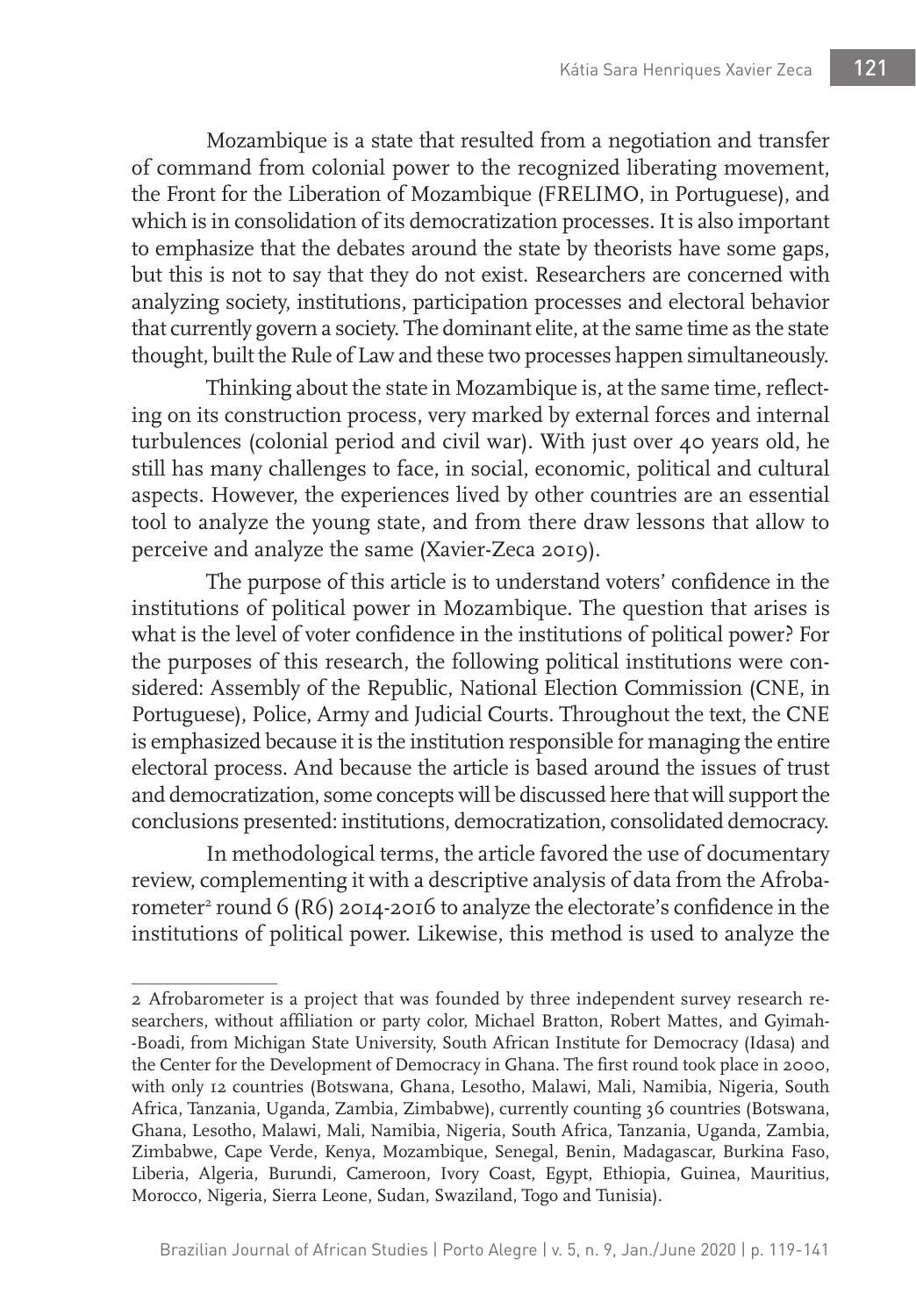Mozambique is a state that resulted from a negotiation and transfer of command from colonial power to the recognized liberating movement, the Front for the Liberation of Mozambique (FRELIMO, in Portuguese), and which is in consolidation of its democratization processes. It is also important to emphasize that the debates around the state by theorists have some gaps, but this is not to say that they do not exist. Researchers are concerned with analyzing society, institutions, participation processes and electoral behavior that currently govern a society. The dominant elite, at the same time as the state thought, built the Rule of Law and these two processes happen simultaneously.

Thinking about the state in Mozambique is, at the same time, reflecting on its construction process, very marked by external forces and internal turbulences (colonial period and civil war). With just over 40 years old, he still has many challenges to face, in social, economic, political and cultural aspects. However, the experiences lived by other countries are an essential tool to analyze the young state, and from there draw lessons that allow to perceive and analyze the same (Xavier-Zeca 2019).

The purpose of this article is to understand voters' confidence in the institutions of political power in Mozambique. The question that arises is what is the level of voter confidence in the institutions of political power? For the purposes of this research, the following political institutions were considered: Assembly of the Republic, National Election Commission (CNE, in Portuguese), Police, Army and Judicial Courts. Throughout the text, the CNE is emphasized because it is the institution responsible for managing the entire electoral process. And because the article is based around the issues of trust and democratization, some concepts will be discussed here that will support the conclusions presented: institutions, democratization, consolidated democracy.

In methodological terms, the article favored the use of documentary review, complementing it with a descriptive analysis of data from the Afrobarometer<sup>2</sup> round 6 (R6) 2014-2016 to analyze the electorate's confidence in the institutions of political power. Likewise, this method is used to analyze the

<sup>2</sup> Afrobarometer is a project that was founded by three independent survey research researchers, without affiliation or party color, Michael Bratton, Robert Mattes, and Gyimah- -Boadi, from Michigan State University, South African Institute for Democracy (Idasa) and the Center for the Development of Democracy in Ghana. The first round took place in 2000, with only 12 countries (Botswana, Ghana, Lesotho, Malawi, Mali, Namibia, Nigeria, South Africa, Tanzania, Uganda, Zambia, Zimbabwe), currently counting 36 countries (Botswana, Ghana, Lesotho, Malawi, Mali, Namibia, Nigeria, South Africa, Tanzania, Uganda, Zambia, Zimbabwe, Cape Verde, Kenya, Mozambique, Senegal, Benin, Madagascar, Burkina Faso, Liberia, Algeria, Burundi, Cameroon, Ivory Coast, Egypt, Ethiopia, Guinea, Mauritius, Morocco, Nigeria, Sierra Leone, Sudan, Swaziland, Togo and Tunisia).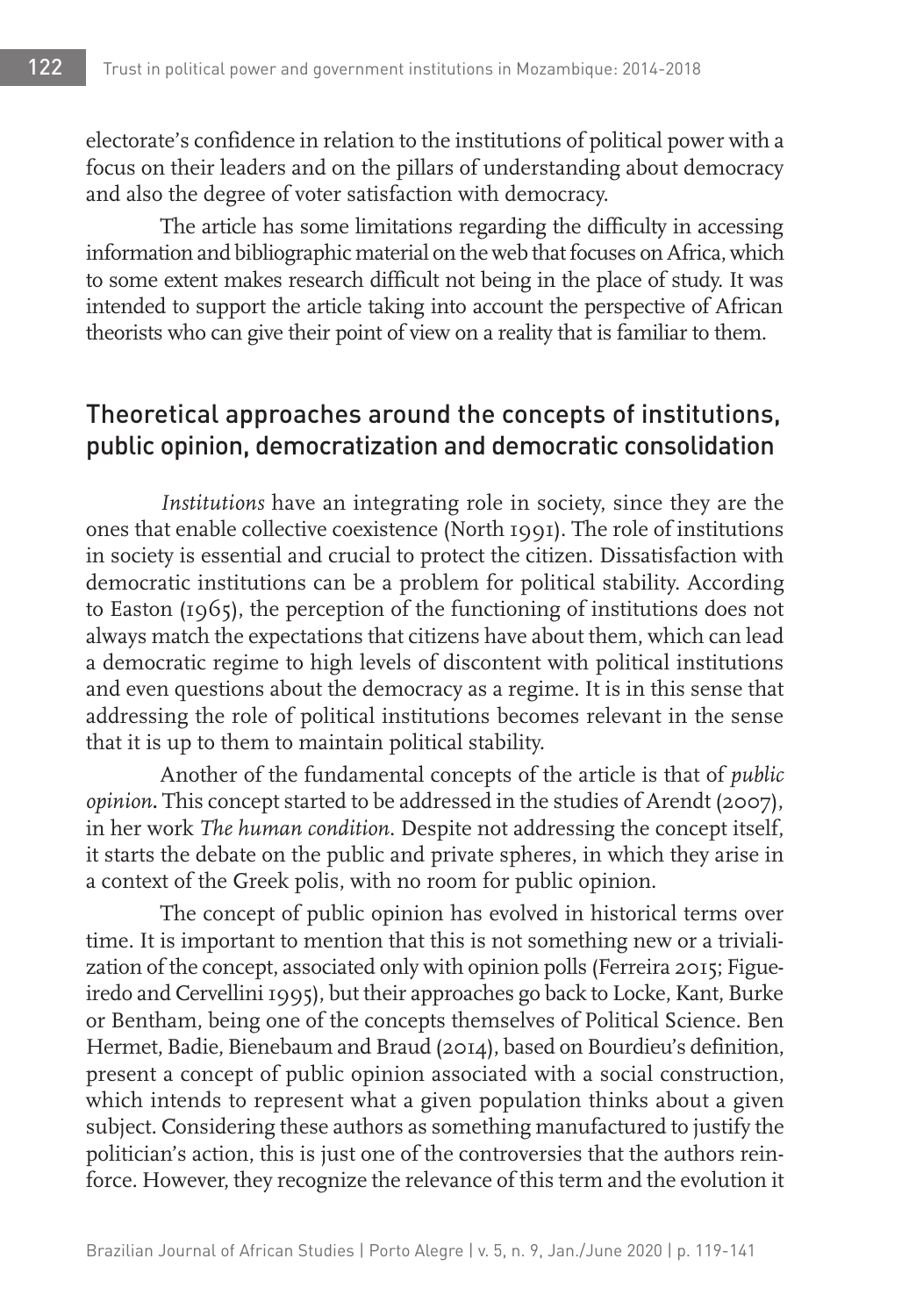electorate's confidence in relation to the institutions of political power with a focus on their leaders and on the pillars of understanding about democracy and also the degree of voter satisfaction with democracy.

The article has some limitations regarding the difficulty in accessing information and bibliographic material on the web that focuses on Africa, which to some extent makes research difficult not being in the place of study. It was intended to support the article taking into account the perspective of African theorists who can give their point of view on a reality that is familiar to them.

# Theoretical approaches around the concepts of institutions, public opinion, democratization and democratic consolidation

*Institutions* have an integrating role in society, since they are the ones that enable collective coexistence (North 1991). The role of institutions in society is essential and crucial to protect the citizen. Dissatisfaction with democratic institutions can be a problem for political stability. According to Easton (1965), the perception of the functioning of institutions does not always match the expectations that citizens have about them, which can lead a democratic regime to high levels of discontent with political institutions and even questions about the democracy as a regime. It is in this sense that addressing the role of political institutions becomes relevant in the sense that it is up to them to maintain political stability.

Another of the fundamental concepts of the article is that of *public opinion***.** This concept started to be addressed in the studies of Arendt (2007), in her work *The human condition*. Despite not addressing the concept itself, it starts the debate on the public and private spheres, in which they arise in a context of the Greek polis, with no room for public opinion.

The concept of public opinion has evolved in historical terms over time. It is important to mention that this is not something new or a trivialization of the concept, associated only with opinion polls (Ferreira 2015; Figueiredo and Cervellini 1995), but their approaches go back to Locke, Kant, Burke or Bentham, being one of the concepts themselves of Political Science. Ben Hermet, Badie, Bienebaum and Braud (2014), based on Bourdieu's definition, present a concept of public opinion associated with a social construction, which intends to represent what a given population thinks about a given subject. Considering these authors as something manufactured to justify the politician's action, this is just one of the controversies that the authors reinforce. However, they recognize the relevance of this term and the evolution it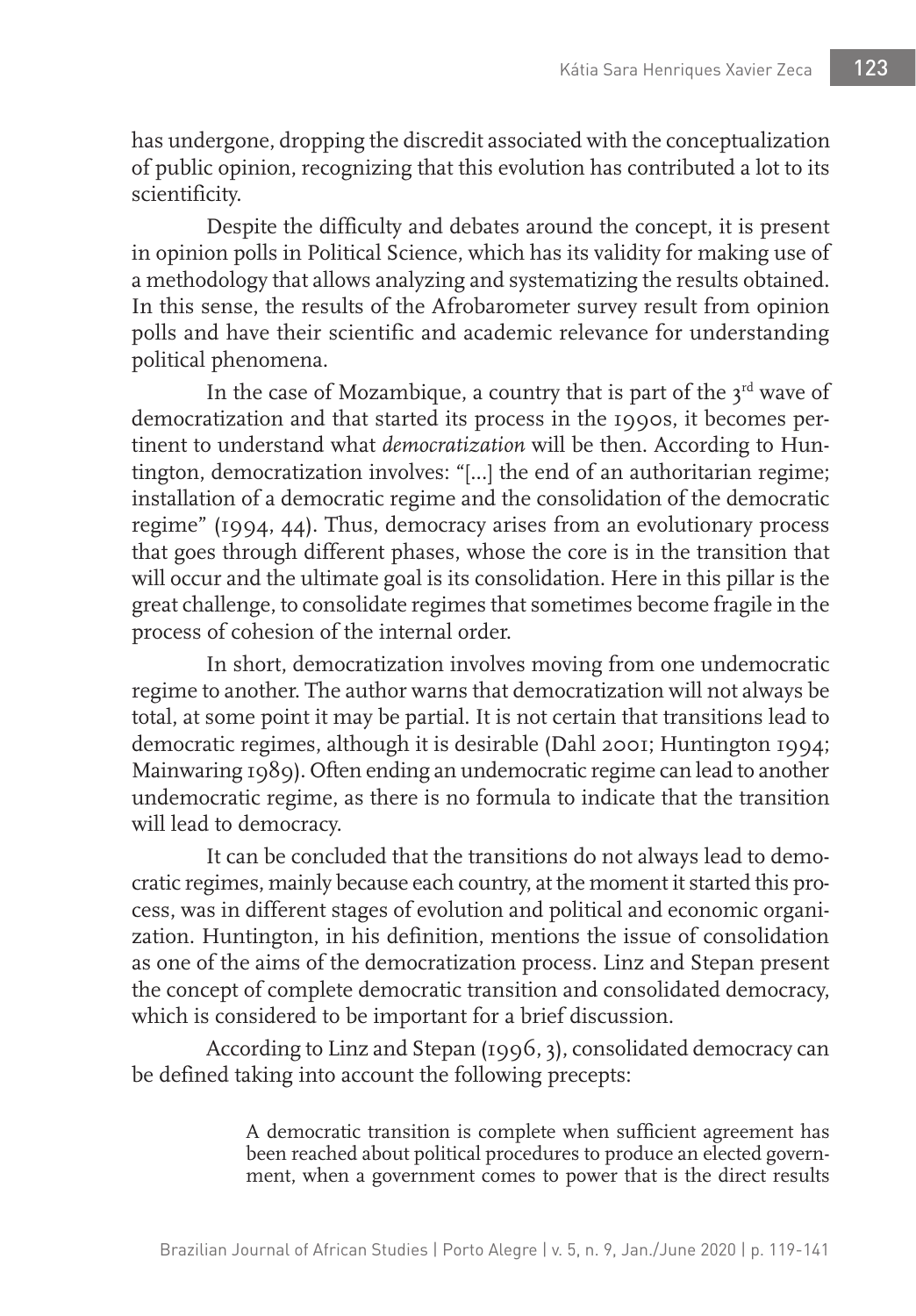has undergone, dropping the discredit associated with the conceptualization of public opinion, recognizing that this evolution has contributed a lot to its scientificity.

Despite the difficulty and debates around the concept, it is present in opinion polls in Political Science, which has its validity for making use of a methodology that allows analyzing and systematizing the results obtained. In this sense, the results of the Afrobarometer survey result from opinion polls and have their scientific and academic relevance for understanding political phenomena.

In the case of Mozambique, a country that is part of the  $3^{rd}$  wave of democratization and that started its process in the 1990s, it becomes pertinent to understand what *democratization* will be then. According to Huntington, democratization involves: "[...] the end of an authoritarian regime; installation of a democratic regime and the consolidation of the democratic regime" (1994, 44). Thus, democracy arises from an evolutionary process that goes through different phases, whose the core is in the transition that will occur and the ultimate goal is its consolidation. Here in this pillar is the great challenge, to consolidate regimes that sometimes become fragile in the process of cohesion of the internal order.

In short, democratization involves moving from one undemocratic regime to another. The author warns that democratization will not always be total, at some point it may be partial. It is not certain that transitions lead to democratic regimes, although it is desirable (Dahl 2001; Huntington 1994; Mainwaring 1989). Often ending an undemocratic regime can lead to another undemocratic regime, as there is no formula to indicate that the transition will lead to democracy.

It can be concluded that the transitions do not always lead to democratic regimes, mainly because each country, at the moment it started this process, was in different stages of evolution and political and economic organization. Huntington, in his definition, mentions the issue of consolidation as one of the aims of the democratization process. Linz and Stepan present the concept of complete democratic transition and consolidated democracy, which is considered to be important for a brief discussion.

According to Linz and Stepan (1996, 3), consolidated democracy can be defined taking into account the following precepts:

> A democratic transition is complete when sufficient agreement has been reached about political procedures to produce an elected government, when a government comes to power that is the direct results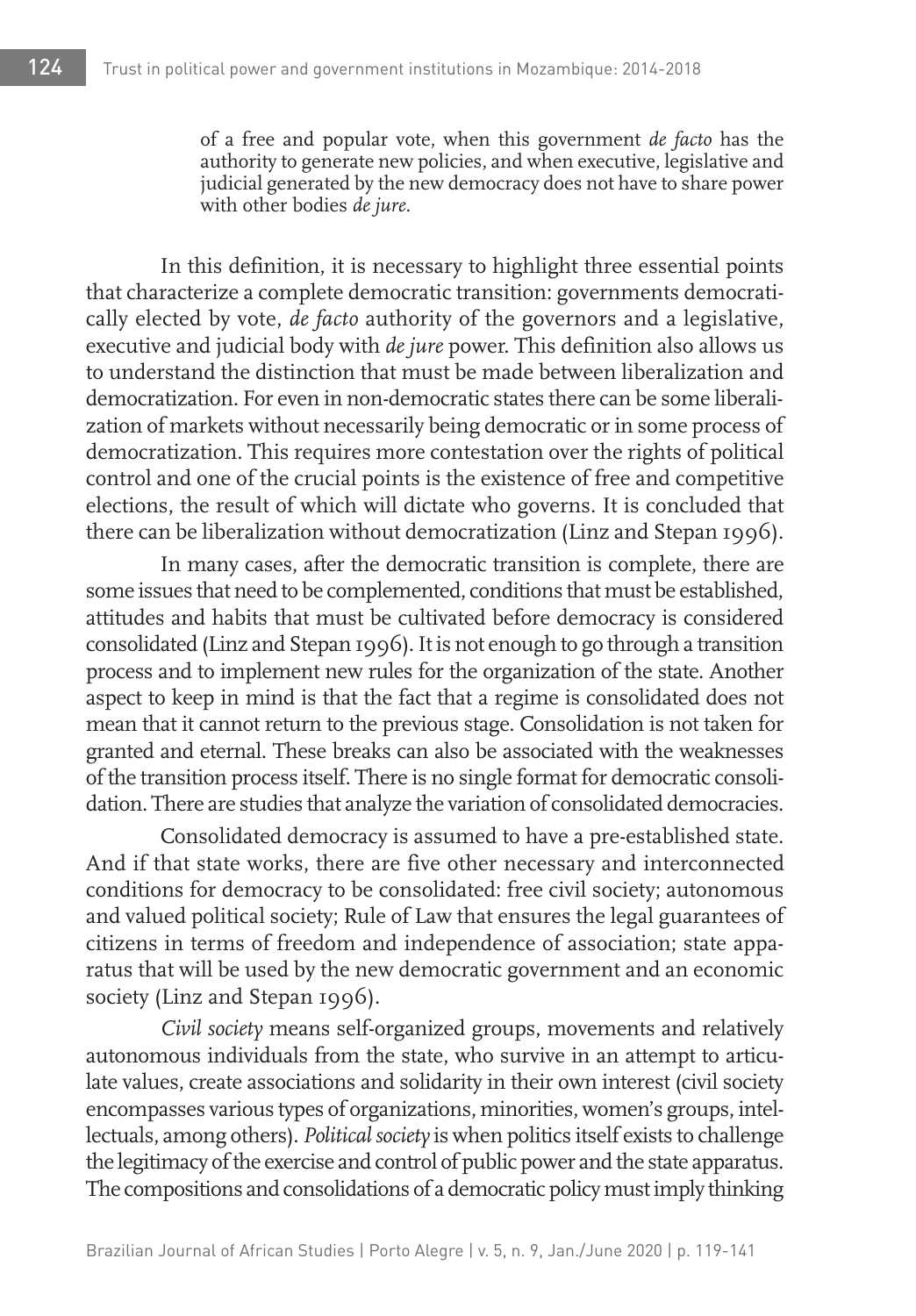of a free and popular vote, when this government *de facto* has the authority to generate new policies, and when executive, legislative and judicial generated by the new democracy does not have to share power with other bodies *de jure*.

In this definition, it is necessary to highlight three essential points that characterize a complete democratic transition: governments democratically elected by vote, *de facto* authority of the governors and a legislative, executive and judicial body with *de jure* power. This definition also allows us to understand the distinction that must be made between liberalization and democratization. For even in non-democratic states there can be some liberalization of markets without necessarily being democratic or in some process of democratization. This requires more contestation over the rights of political control and one of the crucial points is the existence of free and competitive elections, the result of which will dictate who governs. It is concluded that there can be liberalization without democratization (Linz and Stepan 1996).

In many cases, after the democratic transition is complete, there are some issues that need to be complemented, conditions that must be established, attitudes and habits that must be cultivated before democracy is considered consolidated (Linz and Stepan 1996). It is not enough to go through a transition process and to implement new rules for the organization of the state. Another aspect to keep in mind is that the fact that a regime is consolidated does not mean that it cannot return to the previous stage. Consolidation is not taken for granted and eternal. These breaks can also be associated with the weaknesses of the transition process itself. There is no single format for democratic consolidation. There are studies that analyze the variation of consolidated democracies.

Consolidated democracy is assumed to have a pre-established state. And if that state works, there are five other necessary and interconnected conditions for democracy to be consolidated: free civil society; autonomous and valued political society; Rule of Law that ensures the legal guarantees of citizens in terms of freedom and independence of association; state apparatus that will be used by the new democratic government and an economic society (Linz and Stepan 1996).

*Civil society* means self-organized groups, movements and relatively autonomous individuals from the state, who survive in an attempt to articulate values, create associations and solidarity in their own interest (civil society encompasses various types of organizations, minorities, women's groups, intellectuals, among others). *Political society* is when politics itself exists to challenge the legitimacy of the exercise and control of public power and the state apparatus. The compositions and consolidations of a democratic policy must imply thinking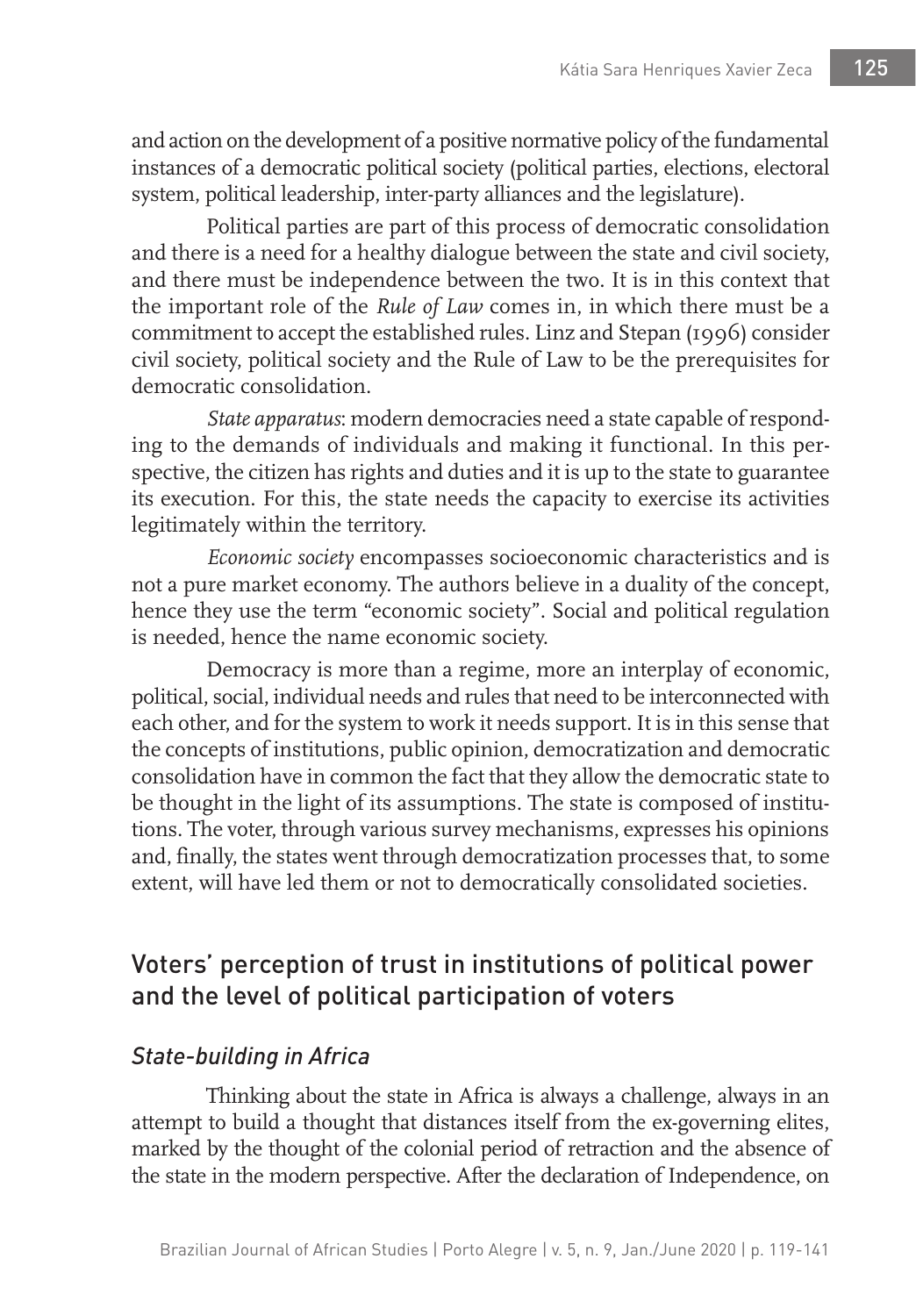and action on the development of a positive normative policy of the fundamental instances of a democratic political society (political parties, elections, electoral system, political leadership, inter-party alliances and the legislature).

Political parties are part of this process of democratic consolidation and there is a need for a healthy dialogue between the state and civil society, and there must be independence between the two. It is in this context that the important role of the *Rule of Law* comes in, in which there must be a commitment to accept the established rules. Linz and Stepan (1996) consider civil society, political society and the Rule of Law to be the prerequisites for democratic consolidation.

*State apparatus*: modern democracies need a state capable of responding to the demands of individuals and making it functional. In this perspective, the citizen has rights and duties and it is up to the state to guarantee its execution. For this, the state needs the capacity to exercise its activities legitimately within the territory.

*Economic society* encompasses socioeconomic characteristics and is not a pure market economy. The authors believe in a duality of the concept, hence they use the term "economic society". Social and political regulation is needed, hence the name economic society.

Democracy is more than a regime, more an interplay of economic, political, social, individual needs and rules that need to be interconnected with each other, and for the system to work it needs support. It is in this sense that the concepts of institutions, public opinion, democratization and democratic consolidation have in common the fact that they allow the democratic state to be thought in the light of its assumptions. The state is composed of institutions. The voter, through various survey mechanisms, expresses his opinions and, finally, the states went through democratization processes that, to some extent, will have led them or not to democratically consolidated societies.

# Voters' perception of trust in institutions of political power and the level of political participation of voters

## *State-building in Africa*

Thinking about the state in Africa is always a challenge, always in an attempt to build a thought that distances itself from the ex-governing elites, marked by the thought of the colonial period of retraction and the absence of the state in the modern perspective. After the declaration of Independence, on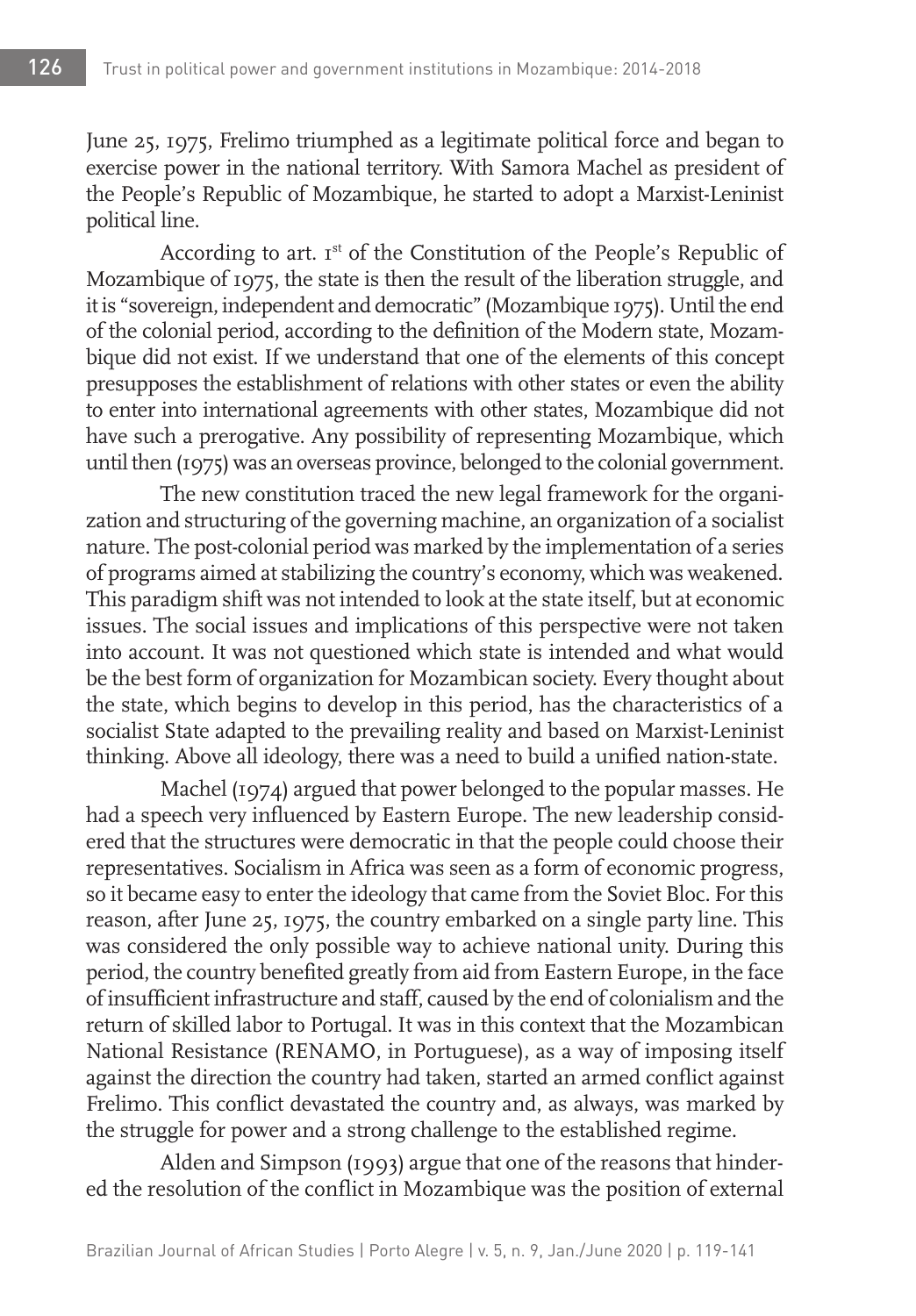June 25, 1975, Frelimo triumphed as a legitimate political force and began to exercise power in the national territory. With Samora Machel as president of the People's Republic of Mozambique, he started to adopt a Marxist-Leninist political line.

According to art. Ist of the Constitution of the People's Republic of Mozambique of 1975, the state is then the result of the liberation struggle, and it is "sovereign, independent and democratic" (Mozambique 1975). Until the end of the colonial period, according to the definition of the Modern state, Mozambique did not exist. If we understand that one of the elements of this concept presupposes the establishment of relations with other states or even the ability to enter into international agreements with other states, Mozambique did not have such a prerogative. Any possibility of representing Mozambique, which until then (1975) was an overseas province, belonged to the colonial government.

The new constitution traced the new legal framework for the organization and structuring of the governing machine, an organization of a socialist nature. The post-colonial period was marked by the implementation of a series of programs aimed at stabilizing the country's economy, which was weakened. This paradigm shift was not intended to look at the state itself, but at economic issues. The social issues and implications of this perspective were not taken into account. It was not questioned which state is intended and what would be the best form of organization for Mozambican society. Every thought about the state, which begins to develop in this period, has the characteristics of a socialist State adapted to the prevailing reality and based on Marxist-Leninist thinking. Above all ideology, there was a need to build a unified nation-state.

Machel (1974) argued that power belonged to the popular masses. He had a speech very influenced by Eastern Europe. The new leadership considered that the structures were democratic in that the people could choose their representatives. Socialism in Africa was seen as a form of economic progress, so it became easy to enter the ideology that came from the Soviet Bloc. For this reason, after June 25, 1975, the country embarked on a single party line. This was considered the only possible way to achieve national unity. During this period, the country benefited greatly from aid from Eastern Europe, in the face of insufficient infrastructure and staff, caused by the end of colonialism and the return of skilled labor to Portugal. It was in this context that the Mozambican National Resistance (RENAMO, in Portuguese), as a way of imposing itself against the direction the country had taken, started an armed conflict against Frelimo. This conflict devastated the country and, as always, was marked by the struggle for power and a strong challenge to the established regime.

Alden and Simpson (1993) argue that one of the reasons that hindered the resolution of the conflict in Mozambique was the position of external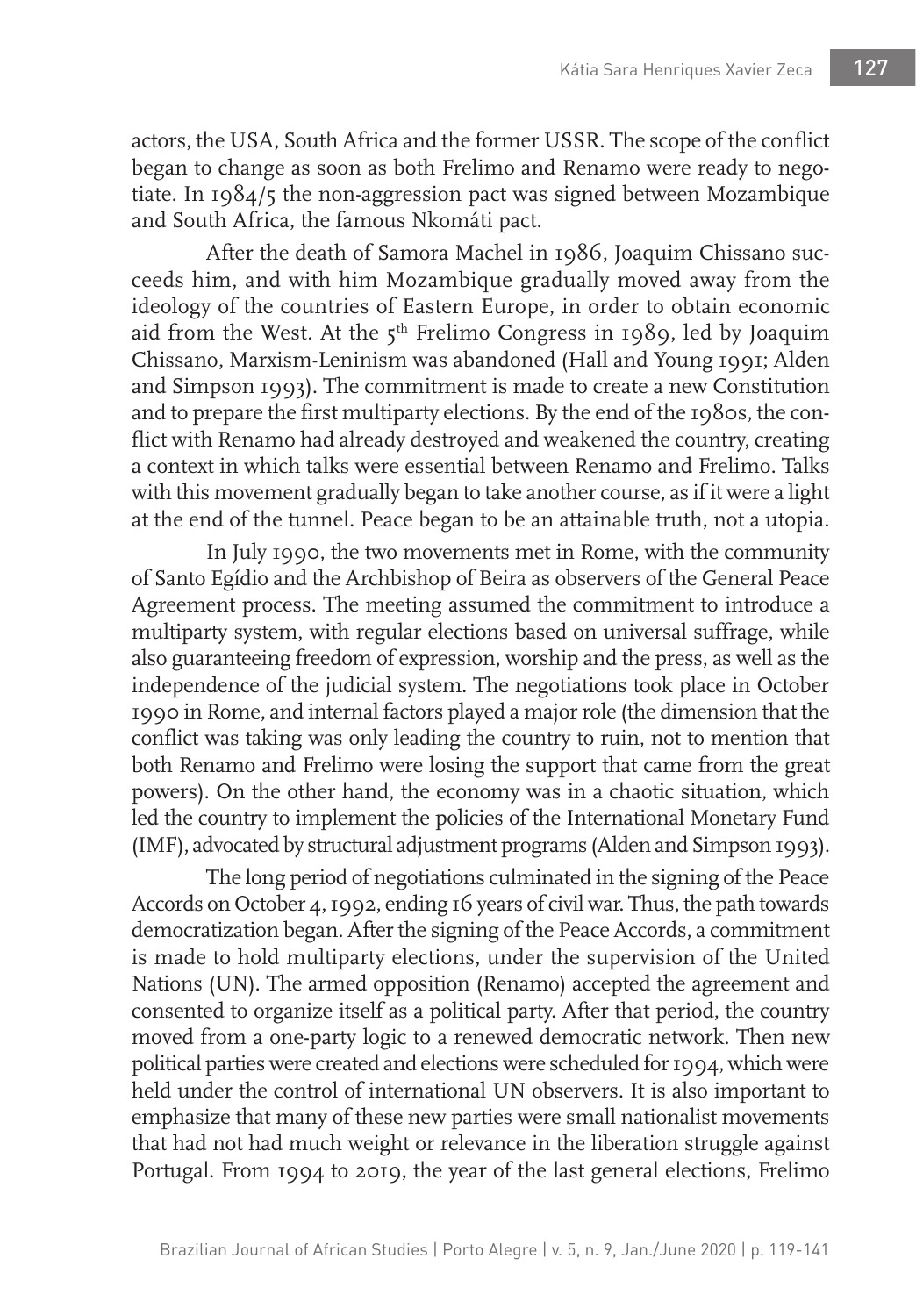actors, the USA, South Africa and the former USSR. The scope of the conflict began to change as soon as both Frelimo and Renamo were ready to negotiate. In 1984/5 the non-aggression pact was signed between Mozambique and South Africa, the famous Nkomáti pact.

After the death of Samora Machel in 1986, Joaquim Chissano succeeds him, and with him Mozambique gradually moved away from the ideology of the countries of Eastern Europe, in order to obtain economic aid from the West. At the  $5<sup>th</sup>$  Frelimo Congress in 1989, led by Joaquim Chissano, Marxism-Leninism was abandoned (Hall and Young 1991; Alden and Simpson 1993). The commitment is made to create a new Constitution and to prepare the first multiparty elections. By the end of the 1980s, the conflict with Renamo had already destroyed and weakened the country, creating a context in which talks were essential between Renamo and Frelimo. Talks with this movement gradually began to take another course, as if it were a light at the end of the tunnel. Peace began to be an attainable truth, not a utopia.

In July 1990, the two movements met in Rome, with the community of Santo Egídio and the Archbishop of Beira as observers of the General Peace Agreement process. The meeting assumed the commitment to introduce a multiparty system, with regular elections based on universal suffrage, while also guaranteeing freedom of expression, worship and the press, as well as the independence of the judicial system. The negotiations took place in October 1990 in Rome, and internal factors played a major role (the dimension that the conflict was taking was only leading the country to ruin, not to mention that both Renamo and Frelimo were losing the support that came from the great powers). On the other hand, the economy was in a chaotic situation, which led the country to implement the policies of the International Monetary Fund (IMF), advocated by structural adjustment programs (Alden and Simpson 1993).

The long period of negotiations culminated in the signing of the Peace Accords on October 4, 1992, ending 16 years of civil war. Thus, the path towards democratization began. After the signing of the Peace Accords, a commitment is made to hold multiparty elections, under the supervision of the United Nations (UN). The armed opposition (Renamo) accepted the agreement and consented to organize itself as a political party. After that period, the country moved from a one-party logic to a renewed democratic network. Then new political parties were created and elections were scheduled for 1994, which were held under the control of international UN observers. It is also important to emphasize that many of these new parties were small nationalist movements that had not had much weight or relevance in the liberation struggle against Portugal. From 1994 to 2019, the year of the last general elections, Frelimo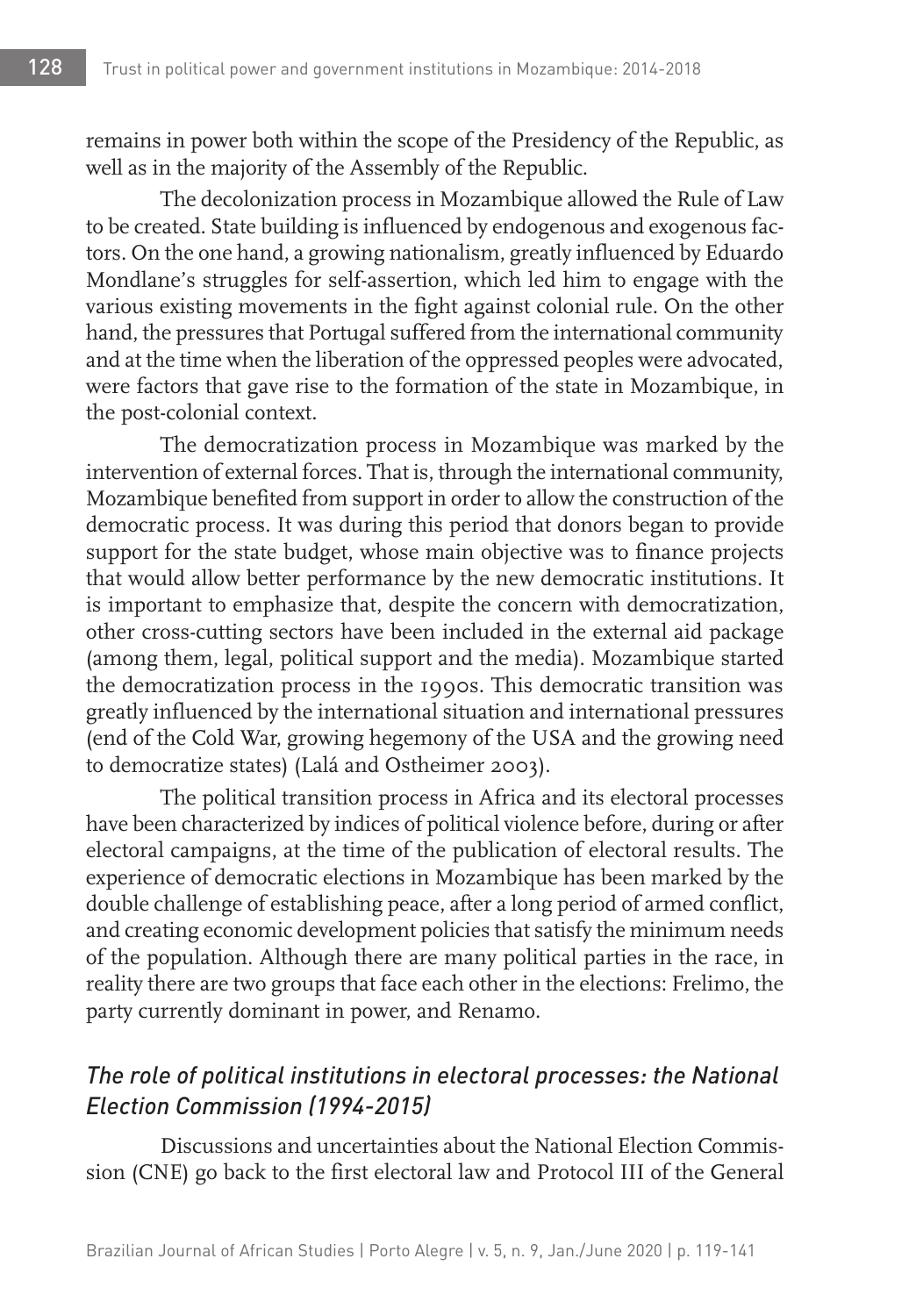remains in power both within the scope of the Presidency of the Republic, as well as in the majority of the Assembly of the Republic.

The decolonization process in Mozambique allowed the Rule of Law to be created. State building is influenced by endogenous and exogenous factors. On the one hand, a growing nationalism, greatly influenced by Eduardo Mondlane's struggles for self-assertion, which led him to engage with the various existing movements in the fight against colonial rule. On the other hand, the pressures that Portugal suffered from the international community and at the time when the liberation of the oppressed peoples were advocated, were factors that gave rise to the formation of the state in Mozambique, in the post-colonial context.

The democratization process in Mozambique was marked by the intervention of external forces. That is, through the international community, Mozambique benefited from support in order to allow the construction of the democratic process. It was during this period that donors began to provide support for the state budget, whose main objective was to finance projects that would allow better performance by the new democratic institutions. It is important to emphasize that, despite the concern with democratization, other cross-cutting sectors have been included in the external aid package (among them, legal, political support and the media). Mozambique started the democratization process in the 1990s. This democratic transition was greatly influenced by the international situation and international pressures (end of the Cold War, growing hegemony of the USA and the growing need to democratize states) (Lalá and Ostheimer 2003).

The political transition process in Africa and its electoral processes have been characterized by indices of political violence before, during or after electoral campaigns, at the time of the publication of electoral results. The experience of democratic elections in Mozambique has been marked by the double challenge of establishing peace, after a long period of armed conflict, and creating economic development policies that satisfy the minimum needs of the population. Although there are many political parties in the race, in reality there are two groups that face each other in the elections: Frelimo, the party currently dominant in power, and Renamo.

# *The role of political institutions in electoral processes: the National Election Commission (1994-2015)*

Discussions and uncertainties about the National Election Commission (CNE) go back to the first electoral law and Protocol III of the General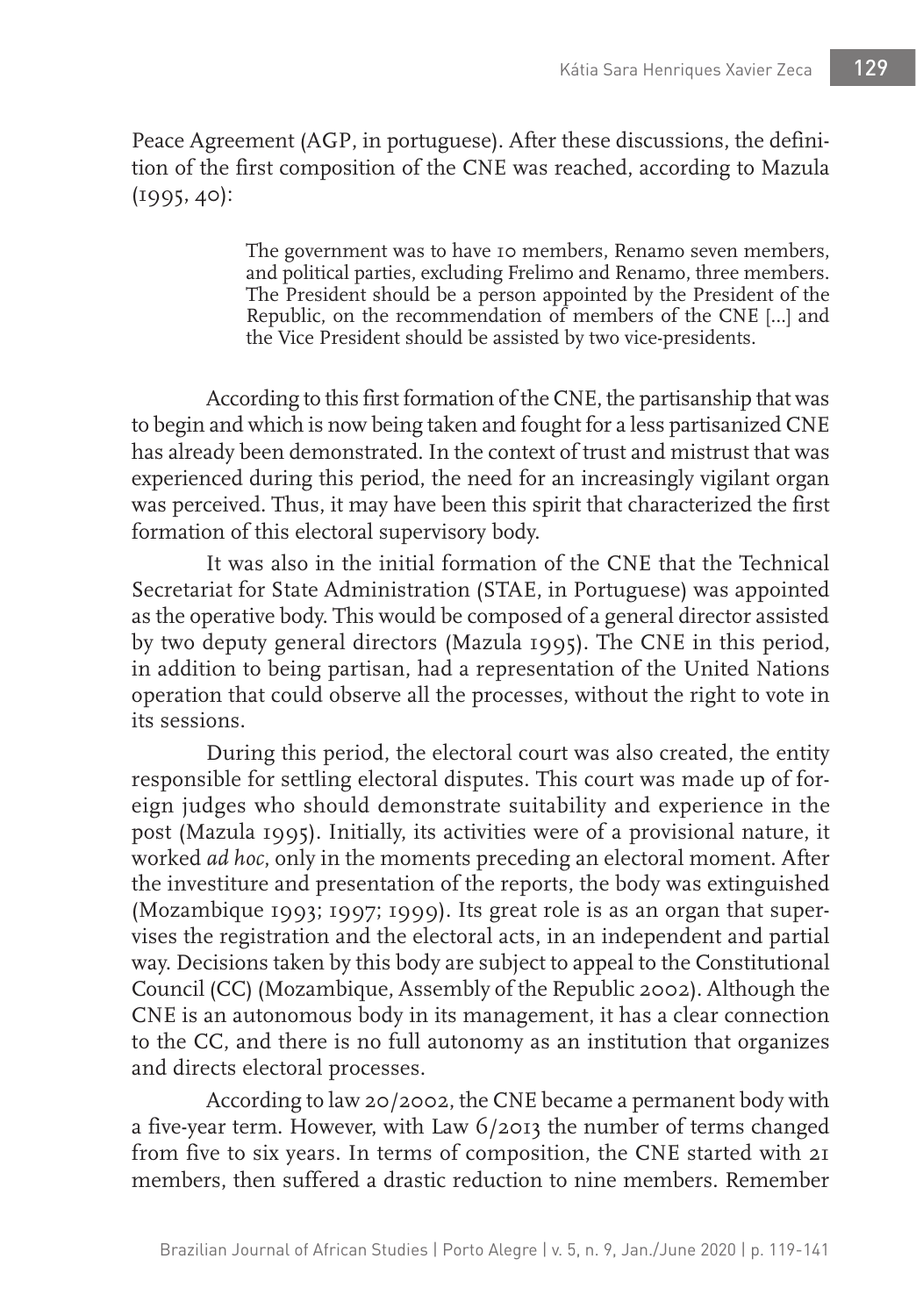Peace Agreement (AGP, in portuguese). After these discussions, the definition of the first composition of the CNE was reached, according to Mazula (1995, 40):

> The government was to have 10 members, Renamo seven members, and political parties, excluding Frelimo and Renamo, three members. The President should be a person appointed by the President of the Republic, on the recommendation of members of the CNE […] and the Vice President should be assisted by two vice-presidents.

According to this first formation of the CNE, the partisanship that was to begin and which is now being taken and fought for a less partisanized CNE has already been demonstrated. In the context of trust and mistrust that was experienced during this period, the need for an increasingly vigilant organ was perceived. Thus, it may have been this spirit that characterized the first formation of this electoral supervisory body.

It was also in the initial formation of the CNE that the Technical Secretariat for State Administration (STAE, in Portuguese) was appointed as the operative body. This would be composed of a general director assisted by two deputy general directors (Mazula 1995). The CNE in this period, in addition to being partisan, had a representation of the United Nations operation that could observe all the processes, without the right to vote in its sessions.

During this period, the electoral court was also created, the entity responsible for settling electoral disputes. This court was made up of foreign judges who should demonstrate suitability and experience in the post (Mazula 1995). Initially, its activities were of a provisional nature, it worked *ad hoc*, only in the moments preceding an electoral moment. After the investiture and presentation of the reports, the body was extinguished (Mozambique 1993; 1997; 1999). Its great role is as an organ that supervises the registration and the electoral acts, in an independent and partial way. Decisions taken by this body are subject to appeal to the Constitutional Council (CC) (Mozambique, Assembly of the Republic 2002). Although the CNE is an autonomous body in its management, it has a clear connection to the CC, and there is no full autonomy as an institution that organizes and directs electoral processes.

According to law 20/2002, the CNE became a permanent body with a five-year term. However, with Law 6/2013 the number of terms changed from five to six years. In terms of composition, the CNE started with 21 members, then suffered a drastic reduction to nine members. Remember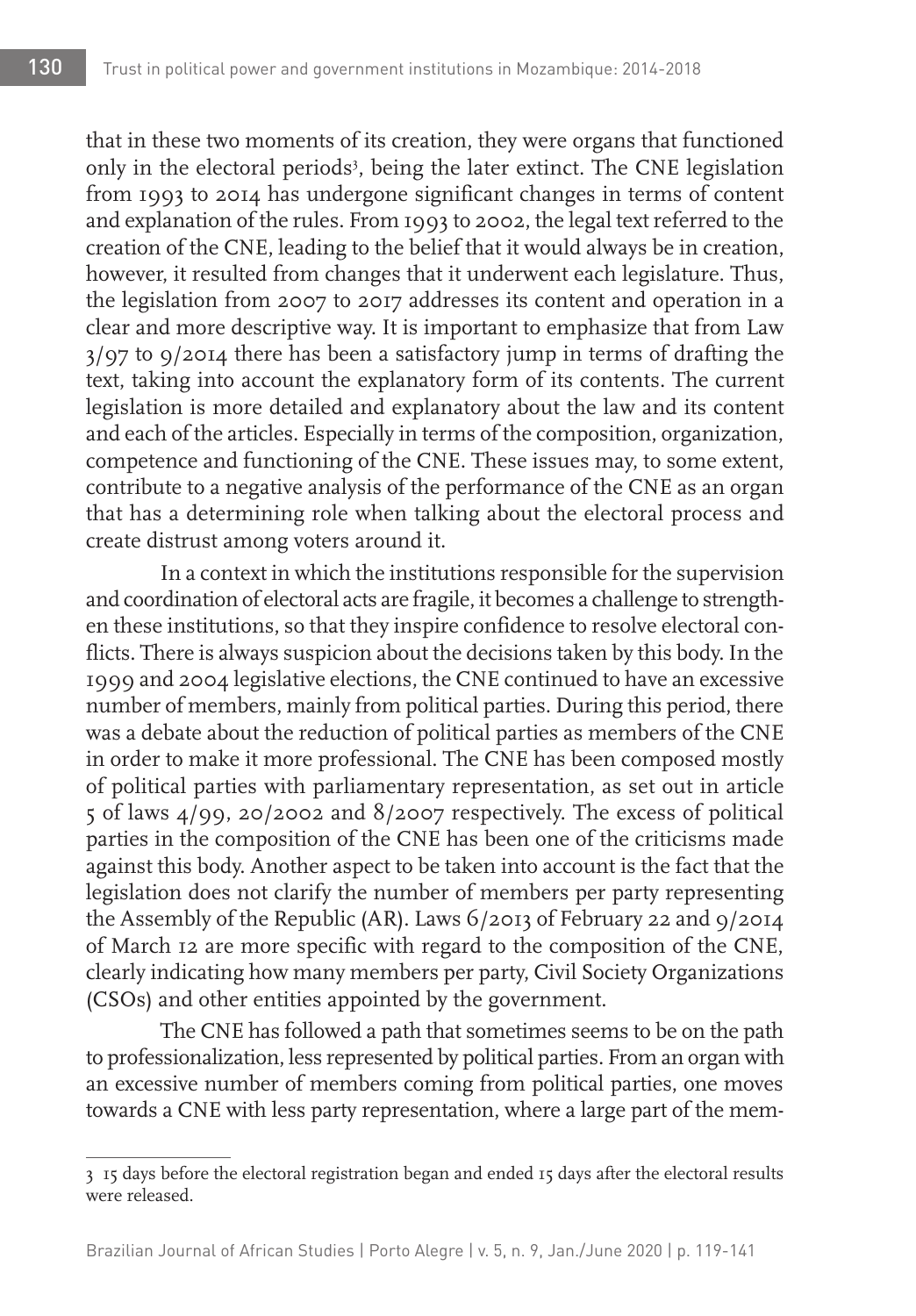that in these two moments of its creation, they were organs that functioned only in the electoral periods<sup>3</sup>, being the later extinct. The CNE legislation from 1993 to 2014 has undergone significant changes in terms of content and explanation of the rules. From 1993 to 2002, the legal text referred to the creation of the CNE, leading to the belief that it would always be in creation, however, it resulted from changes that it underwent each legislature. Thus, the legislation from 2007 to 2017 addresses its content and operation in a clear and more descriptive way. It is important to emphasize that from Law 3/97 to 9/2014 there has been a satisfactory jump in terms of drafting the text, taking into account the explanatory form of its contents. The current legislation is more detailed and explanatory about the law and its content and each of the articles. Especially in terms of the composition, organization, competence and functioning of the CNE. These issues may, to some extent, contribute to a negative analysis of the performance of the CNE as an organ that has a determining role when talking about the electoral process and create distrust among voters around it.

In a context in which the institutions responsible for the supervision and coordination of electoral acts are fragile, it becomes a challenge to strengthen these institutions, so that they inspire confidence to resolve electoral conflicts. There is always suspicion about the decisions taken by this body. In the 1999 and 2004 legislative elections, the CNE continued to have an excessive number of members, mainly from political parties. During this period, there was a debate about the reduction of political parties as members of the CNE in order to make it more professional. The CNE has been composed mostly of political parties with parliamentary representation, as set out in article 5 of laws 4/99, 20/2002 and 8/2007 respectively. The excess of political parties in the composition of the CNE has been one of the criticisms made against this body. Another aspect to be taken into account is the fact that the legislation does not clarify the number of members per party representing the Assembly of the Republic (AR). Laws 6/2013 of February 22 and 9/2014 of March 12 are more specific with regard to the composition of the CNE, clearly indicating how many members per party, Civil Society Organizations (CSOs) and other entities appointed by the government.

The CNE has followed a path that sometimes seems to be on the path to professionalization, less represented by political parties. From an organ with an excessive number of members coming from political parties, one moves towards a CNE with less party representation, where a large part of the mem-

<sup>3</sup> 15 days before the electoral registration began and ended 15 days after the electoral results were released.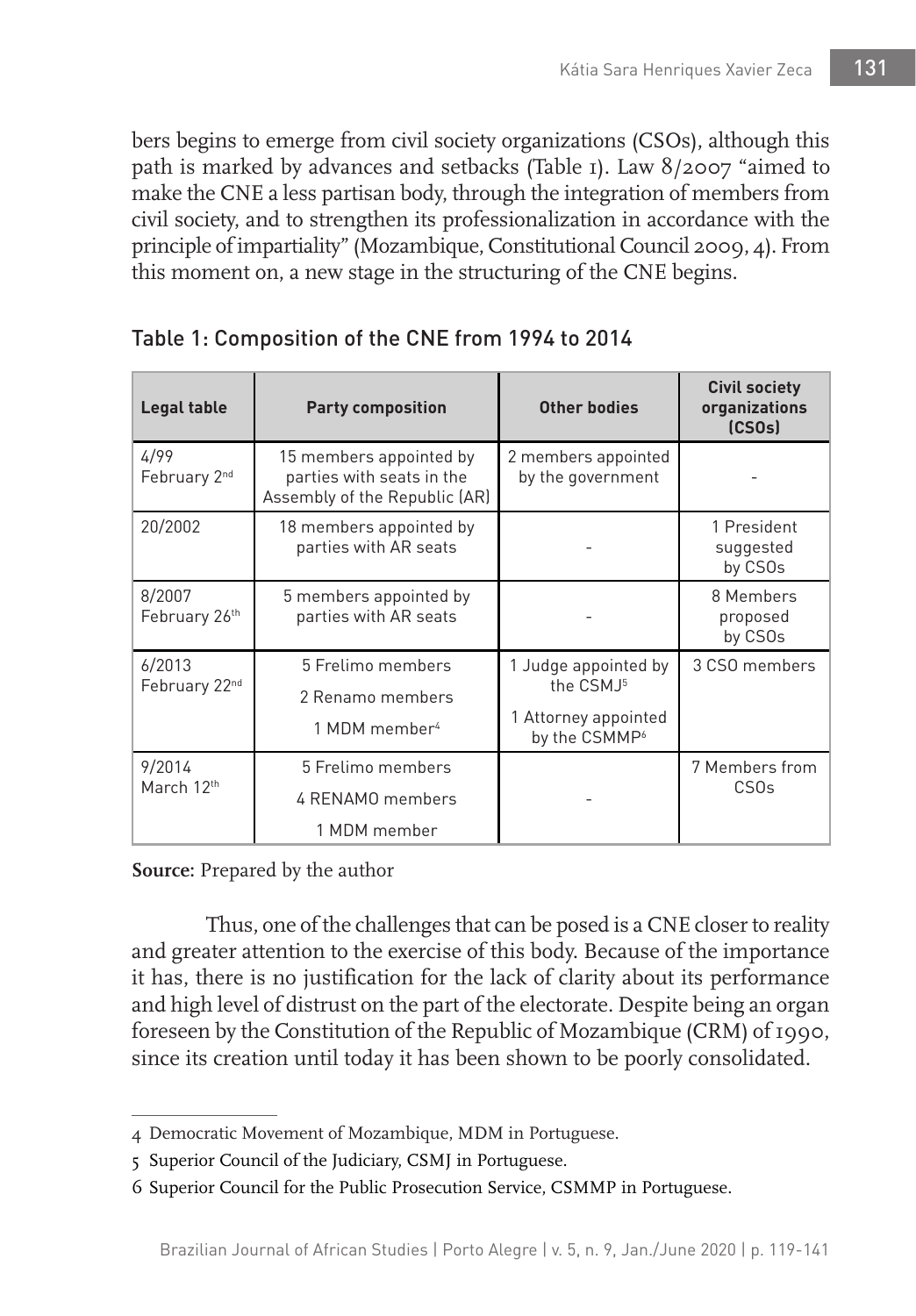bers begins to emerge from civil society organizations (CSOs), although this path is marked by advances and setbacks (Table 1). Law 8/2007 "aimed to make the CNE a less partisan body, through the integration of members from civil society, and to strengthen its professionalization in accordance with the principle of impartiality" (Mozambique, Constitutional Council 2009, 4). From this moment on, a new stage in the structuring of the CNE begins.

| Legal table             | <b>Party composition</b>                                                              | Other bodies                                                                                       | <b>Civil society</b><br>organizations<br>(CSOS) |
|-------------------------|---------------------------------------------------------------------------------------|----------------------------------------------------------------------------------------------------|-------------------------------------------------|
| 4/99<br>February 2nd    | 15 members appointed by<br>parties with seats in the<br>Assembly of the Republic (AR) | 2 members appointed<br>by the government                                                           |                                                 |
| 20/2002                 | 18 members appointed by<br>parties with AR seats                                      |                                                                                                    | 1 President<br>suggested<br>by CSOs             |
| 8/2007<br>February 26th | 5 members appointed by<br>parties with AR seats                                       |                                                                                                    | 8 Members<br>proposed<br>by CSOs                |
| 6/2013<br>February 22nd | 5 Frelimo members<br>2 Renamo members<br>1 MDM member <sup>4</sup>                    | 1 Judge appointed by<br>the CSMJ <sup>5</sup><br>1 Attorney appointed<br>by the CSMMP <sup>6</sup> | 3 CSO members                                   |
| 9/2014<br>March 12th    | 5 Frelimo members<br>4 RENAMO members<br>1 MDM member                                 |                                                                                                    | 7 Members from<br>CSO <sub>s</sub>              |

## Table 1: Composition of the CNE from 1994 to 2014

**Source:** Prepared by the author

Thus, one of the challenges that can be posed is a CNE closer to reality and greater attention to the exercise of this body. Because of the importance it has, there is no justification for the lack of clarity about its performance and high level of distrust on the part of the electorate. Despite being an organ foreseen by the Constitution of the Republic of Mozambique (CRM) of 1990, since its creation until today it has been shown to be poorly consolidated.

<sup>4</sup> Democratic Movement of Mozambique, MDM in Portuguese.

<sup>5</sup> Superior Council of the Judiciary, CSMJ in Portuguese.

<sup>6</sup> Superior Council for the Public Prosecution Service, CSMMP in Portuguese.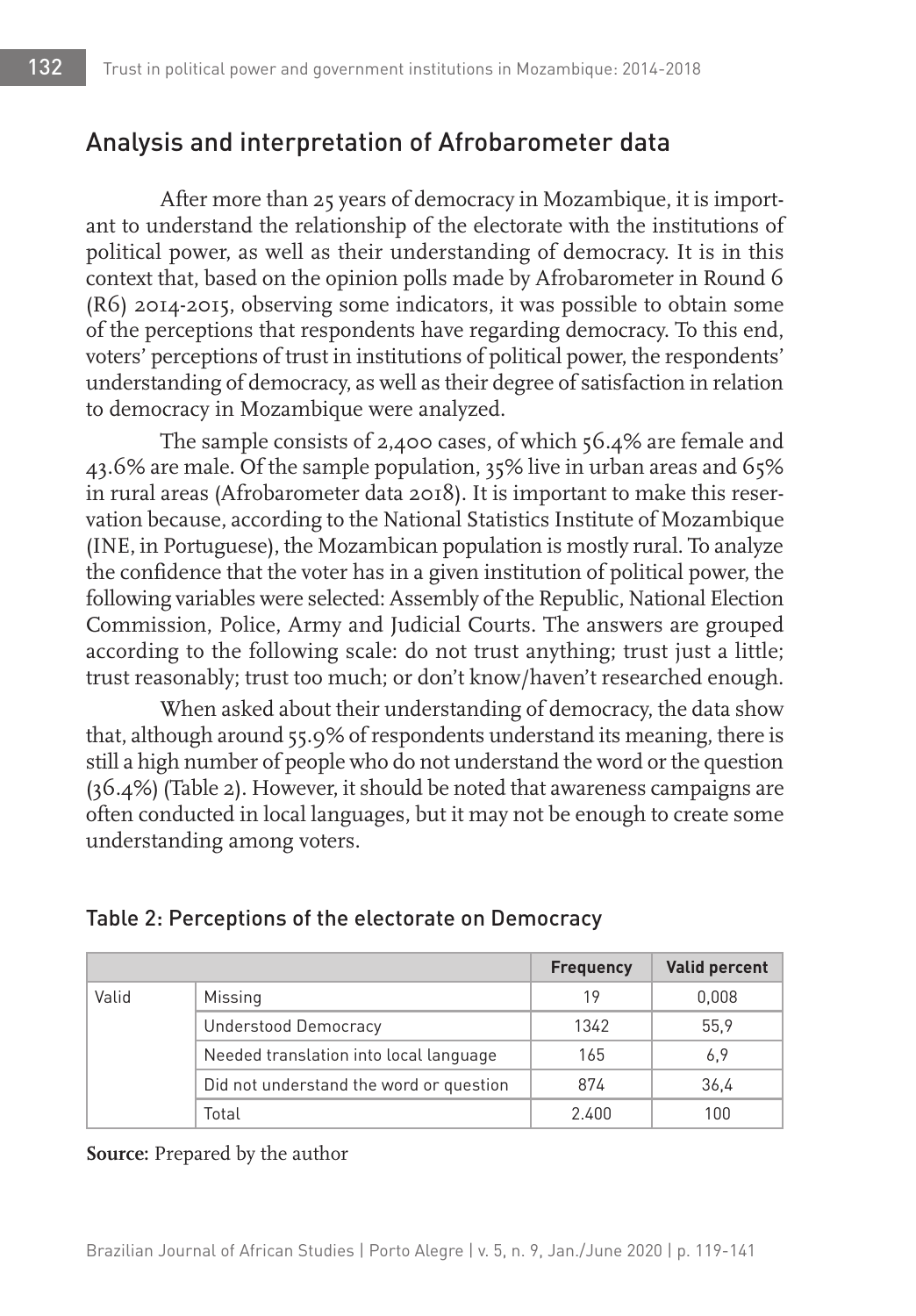# Analysis and interpretation of Afrobarometer data

After more than 25 years of democracy in Mozambique, it is important to understand the relationship of the electorate with the institutions of political power, as well as their understanding of democracy. It is in this context that, based on the opinion polls made by Afrobarometer in Round 6 (R6) 2014-2015, observing some indicators, it was possible to obtain some of the perceptions that respondents have regarding democracy. To this end, voters' perceptions of trust in institutions of political power, the respondents' understanding of democracy, as well as their degree of satisfaction in relation to democracy in Mozambique were analyzed.

The sample consists of 2,400 cases, of which 56.4% are female and 43.6% are male. Of the sample population, 35% live in urban areas and 65% in rural areas (Afrobarometer data 2018). It is important to make this reservation because, according to the National Statistics Institute of Mozambique (INE, in Portuguese), the Mozambican population is mostly rural. To analyze the confidence that the voter has in a given institution of political power, the following variables were selected: Assembly of the Republic, National Election Commission, Police, Army and Judicial Courts. The answers are grouped according to the following scale: do not trust anything; trust just a little; trust reasonably; trust too much; or don't know/haven't researched enough.

When asked about their understanding of democracy, the data show that, although around 55.9% of respondents understand its meaning, there is still a high number of people who do not understand the word or the question (36.4%) (Table 2). However, it should be noted that awareness campaigns are often conducted in local languages, but it may not be enough to create some understanding among voters.

|       |                                         | <b>Frequency</b> | <b>Valid percent</b> |
|-------|-----------------------------------------|------------------|----------------------|
| Valid | Missing                                 | 19               | 0,008                |
|       | <b>Understood Democracy</b>             | 1342             | 55.9                 |
|       | Needed translation into local language  | 165              | 6,9                  |
|       | Did not understand the word or question | 874              | 36,4                 |
|       | Total                                   | 2.400            | 100                  |

#### Table 2: Perceptions of the electorate on Democracy

**Source:** Prepared by the author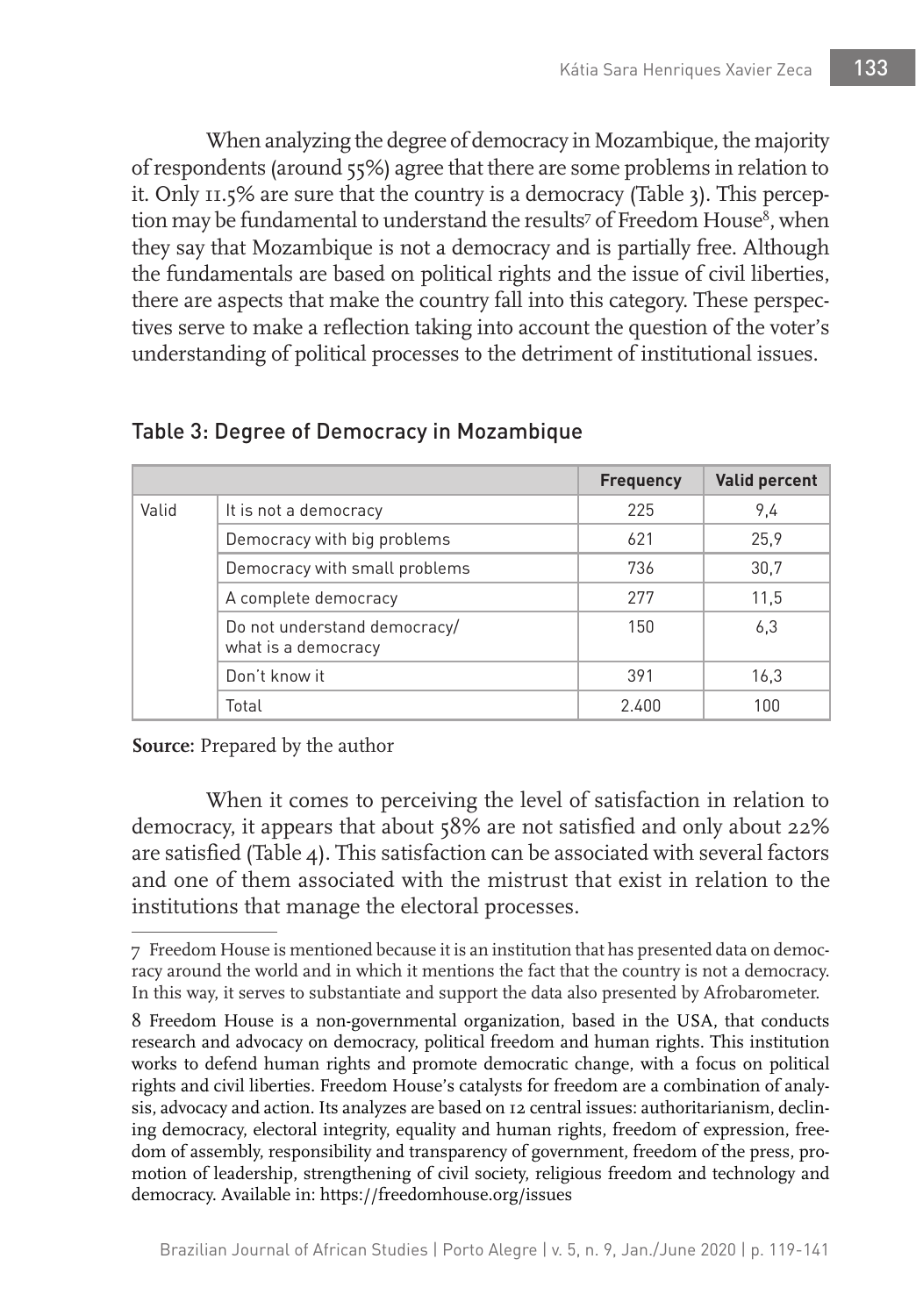When analyzing the degree of democracy in Mozambique, the majority of respondents (around 55%) agree that there are some problems in relation to it. Only 11.5% are sure that the country is a democracy (Table 3). This perception may be fundamental to understand the results<sup>7</sup> of Freedom House<sup>8</sup>, when they say that Mozambique is not a democracy and is partially free. Although the fundamentals are based on political rights and the issue of civil liberties, there are aspects that make the country fall into this category. These perspectives serve to make a reflection taking into account the question of the voter's understanding of political processes to the detriment of institutional issues.

|       |                                                     | <b>Frequency</b> | <b>Valid percent</b> |
|-------|-----------------------------------------------------|------------------|----------------------|
| Valid | It is not a democracy                               | 225              | 9.4                  |
|       | Democracy with big problems                         | 621              | 25,9                 |
|       | Democracy with small problems                       | 736              | 30.7                 |
|       | A complete democracy                                | 277              | 11,5                 |
|       | Do not understand democracy/<br>what is a democracy | 150              | 6,3                  |
|       | Don't know it                                       | 391              | 16,3                 |
|       | Total                                               | 2.400            | 100                  |

### Table 3: Degree of Democracy in Mozambique

**Source:** Prepared by the author

When it comes to perceiving the level of satisfaction in relation to democracy, it appears that about 58% are not satisfied and only about 22% are satisfied (Table 4). This satisfaction can be associated with several factors and one of them associated with the mistrust that exist in relation to the institutions that manage the electoral processes.

<sup>7</sup> Freedom House is mentioned because it is an institution that has presented data on democracy around the world and in which it mentions the fact that the country is not a democracy. In this way, it serves to substantiate and support the data also presented by Afrobarometer.

<sup>8</sup> Freedom House is a non-governmental organization, based in the USA, that conducts research and advocacy on democracy, political freedom and human rights. This institution works to defend human rights and promote democratic change, with a focus on political rights and civil liberties. Freedom House's catalysts for freedom are a combination of analysis, advocacy and action. Its analyzes are based on 12 central issues: authoritarianism, declining democracy, electoral integrity, equality and human rights, freedom of expression, freedom of assembly, responsibility and transparency of government, freedom of the press, promotion of leadership, strengthening of civil society, religious freedom and technology and democracy. Available in: https://freedomhouse.org/issues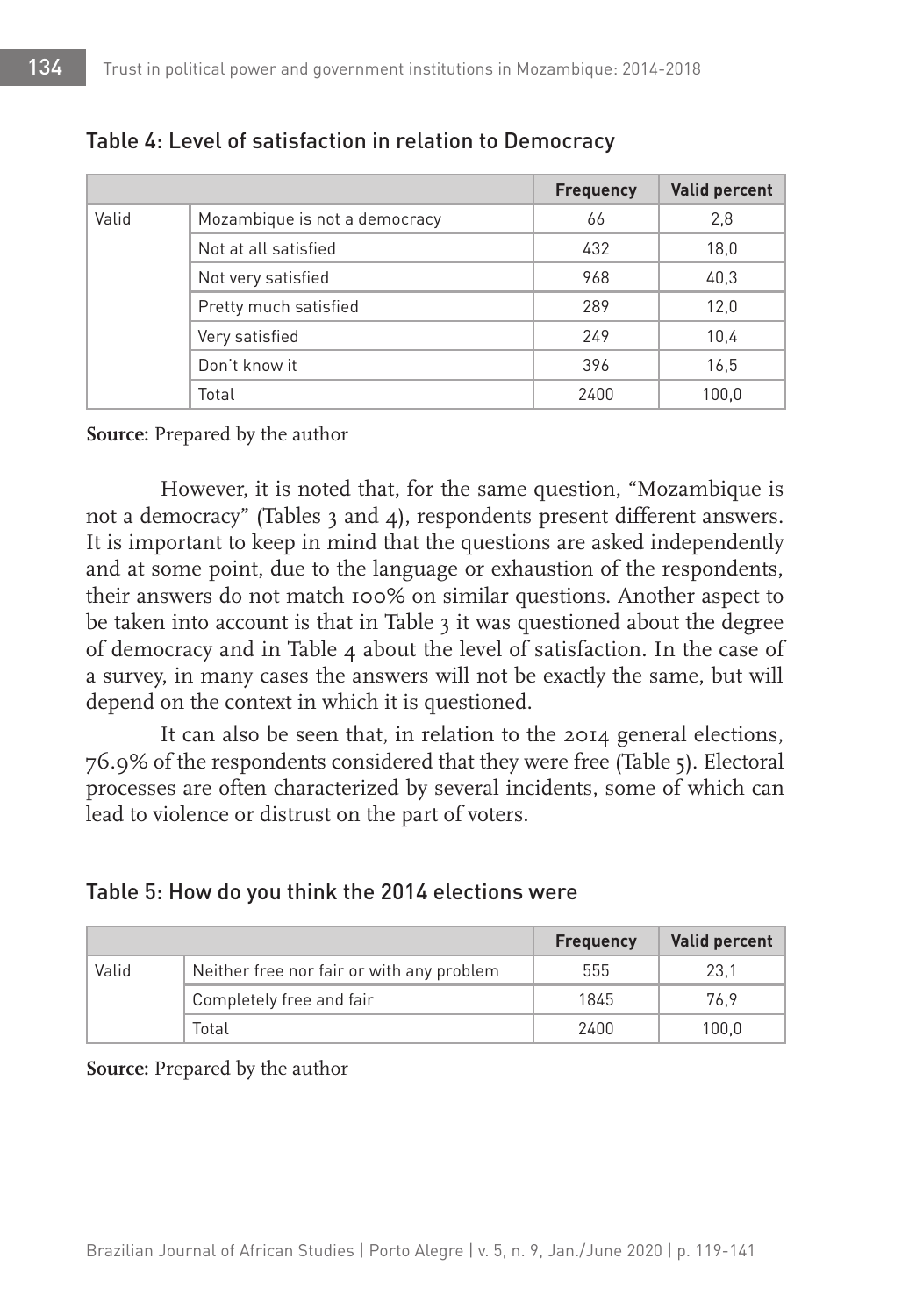|       |                               | <b>Frequency</b> | <b>Valid percent</b> |
|-------|-------------------------------|------------------|----------------------|
| Valid | Mozambique is not a democracy | 66               | 2,8                  |
|       | Not at all satisfied          | 432              | 18,0                 |
|       | Not very satisfied            | 968              | 40,3                 |
|       | Pretty much satisfied         | 289              | 12,0                 |
|       | Very satisfied                | 249              | 10,4                 |
|       | Don't know it                 | 396              | 16,5                 |
|       | Total                         | 2400             | 100,0                |

#### Table 4: Level of satisfaction in relation to Democracy

#### **Source:** Prepared by the author

However, it is noted that, for the same question, "Mozambique is not a democracy" (Tables 3 and 4), respondents present different answers. It is important to keep in mind that the questions are asked independently and at some point, due to the language or exhaustion of the respondents, their answers do not match 100% on similar questions. Another aspect to be taken into account is that in Table 3 it was questioned about the degree of democracy and in Table 4 about the level of satisfaction. In the case of a survey, in many cases the answers will not be exactly the same, but will depend on the context in which it is questioned.

It can also be seen that, in relation to the 2014 general elections, 76.9% of the respondents considered that they were free (Table 5). Electoral processes are often characterized by several incidents, some of which can lead to violence or distrust on the part of voters.

#### Table 5: How do you think the 2014 elections were

|       |                                           | <b>Frequency</b> | <b>Valid percent</b> |
|-------|-------------------------------------------|------------------|----------------------|
| Valid | Neither free nor fair or with any problem | 555              | 23.1                 |
|       | Completely free and fair                  | 1845             | 76.9                 |
|       | Total                                     | 2400             | 100.0                |

**Source:** Prepared by the author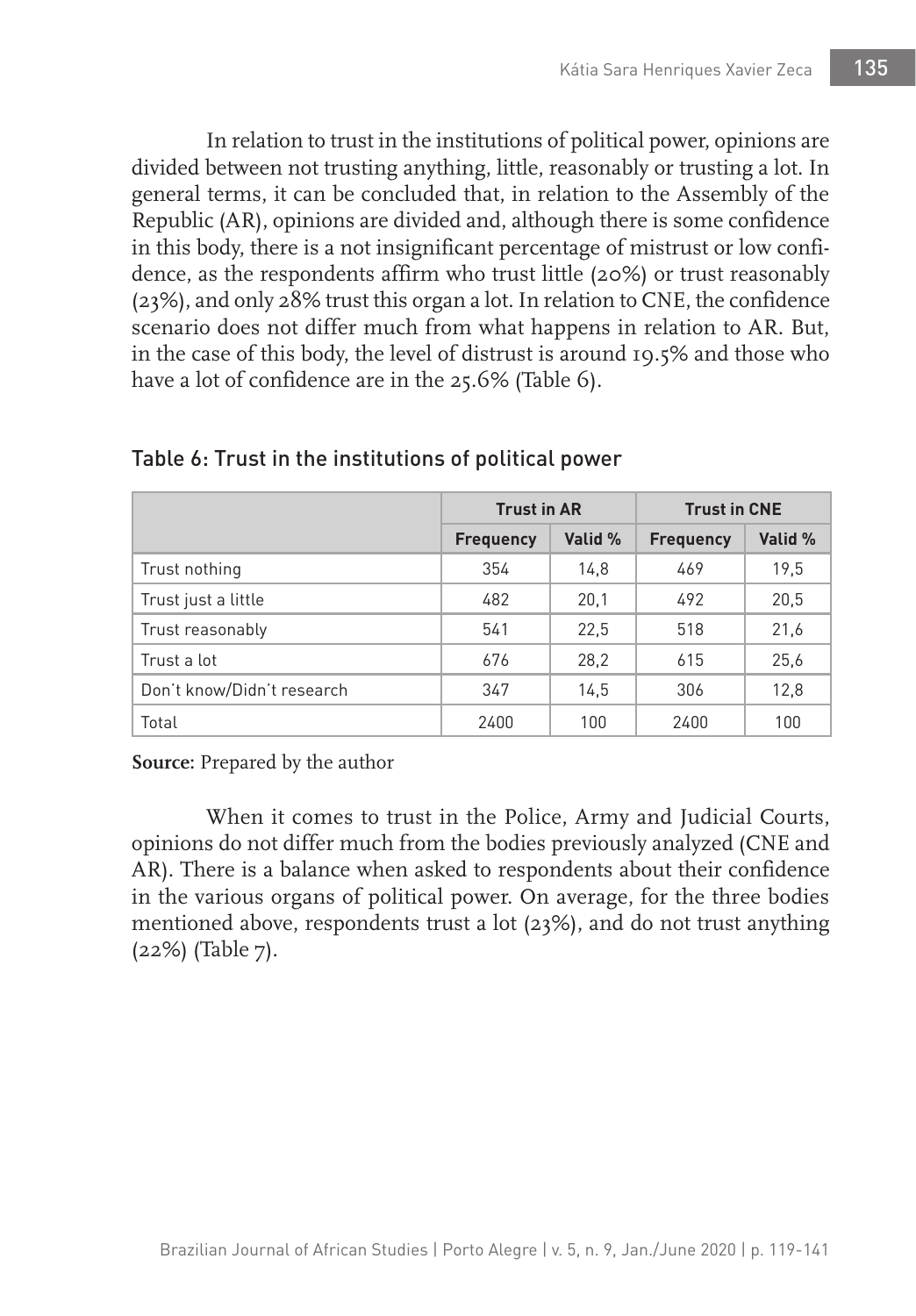In relation to trust in the institutions of political power, opinions are divided between not trusting anything, little, reasonably or trusting a lot. In general terms, it can be concluded that, in relation to the Assembly of the Republic (AR), opinions are divided and, although there is some confidence in this body, there is a not insignificant percentage of mistrust or low confidence, as the respondents affirm who trust little (20%) or trust reasonably (23%), and only 28% trust this organ a lot. In relation to CNE, the confidence scenario does not differ much from what happens in relation to AR. But, in the case of this body, the level of distrust is around 19.5% and those who have a lot of confidence are in the 25.6% (Table 6).

|                            | <b>Trust in AR</b> |         | <b>Trust in CNE</b> |         |
|----------------------------|--------------------|---------|---------------------|---------|
|                            | <b>Frequency</b>   | Valid % | <b>Frequency</b>    | Valid % |
| Trust nothing              | 354                | 14,8    | 469                 | 19.5    |
| Trust just a little        | 482                | 20,1    | 492                 | 20,5    |
| Trust reasonably           | 541                | 22.5    | 518                 | 21,6    |
| Trust a lot                | 676                | 28,2    | 615                 | 25,6    |
| Don't know/Didn't research | 347                | 14.5    | 306                 | 12,8    |
| Total                      | 2400               | 100     | 2400                | 100     |

Table 6: Trust in the institutions of political power

**Source:** Prepared by the author

When it comes to trust in the Police, Army and Judicial Courts, opinions do not differ much from the bodies previously analyzed (CNE and AR). There is a balance when asked to respondents about their confidence in the various organs of political power. On average, for the three bodies mentioned above, respondents trust a lot (23%), and do not trust anything (22%) (Table 7).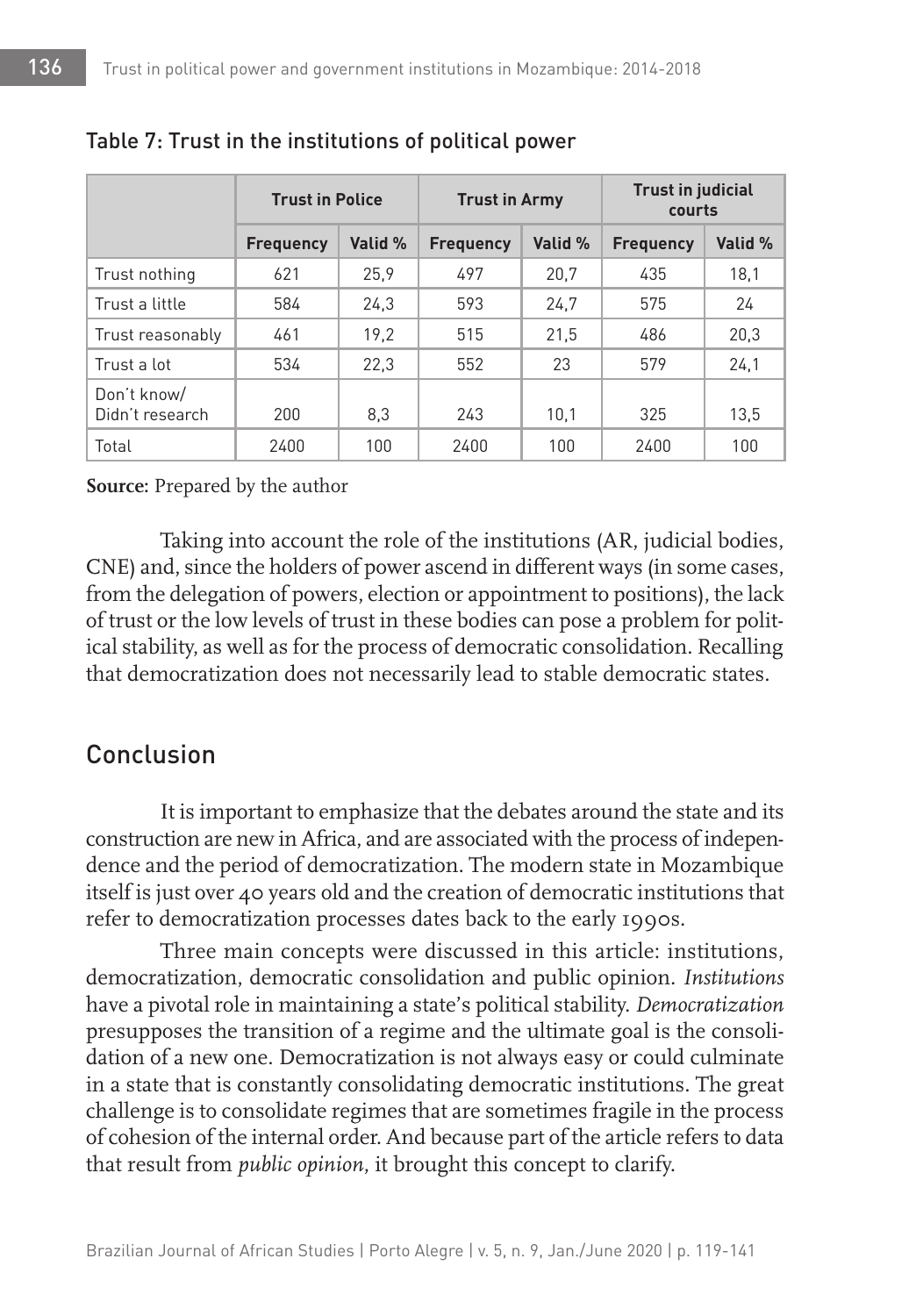|                                | <b>Trust in Police</b> |         | <b>Trust in Army</b> |         | <b>Trust in judicial</b><br>courts |         |
|--------------------------------|------------------------|---------|----------------------|---------|------------------------------------|---------|
|                                | <b>Frequency</b>       | Valid % | <b>Frequency</b>     | Valid % | <b>Frequency</b>                   | Valid % |
| Trust nothing                  | 621                    | 25.9    | 497                  | 20,7    | 435                                | 18.1    |
| Trust a little                 | 584                    | 24.3    | 593                  | 24.7    | 575                                | 24      |
| Trust reasonably               | 461                    | 19.2    | 515                  | 21,5    | 486                                | 20,3    |
| Trust a lot                    | 534                    | 22,3    | 552                  | 23      | 579                                | 24,1    |
| Don't know/<br>Didn't research | 200                    | 8,3     | 243                  | 10,1    | 325                                | 13.5    |
| Total                          | 2400                   | 100     | 2400                 | 100     | 2400                               | 100     |

### Table 7: Trust in the institutions of political power

#### **Source:** Prepared by the author

Taking into account the role of the institutions (AR, judicial bodies, CNE) and, since the holders of power ascend in different ways (in some cases, from the delegation of powers, election or appointment to positions), the lack of trust or the low levels of trust in these bodies can pose a problem for political stability, as well as for the process of democratic consolidation. Recalling that democratization does not necessarily lead to stable democratic states.

# Conclusion

It is important to emphasize that the debates around the state and its construction are new in Africa, and are associated with the process of independence and the period of democratization. The modern state in Mozambique itself is just over 40 years old and the creation of democratic institutions that refer to democratization processes dates back to the early 1990s.

Three main concepts were discussed in this article: institutions, democratization, democratic consolidation and public opinion. *Institutions*  have a pivotal role in maintaining a state's political stability. *Democratization*  presupposes the transition of a regime and the ultimate goal is the consolidation of a new one. Democratization is not always easy or could culminate in a state that is constantly consolidating democratic institutions. The great challenge is to consolidate regimes that are sometimes fragile in the process of cohesion of the internal order. And because part of the article refers to data that result from *public opinion*, it brought this concept to clarify.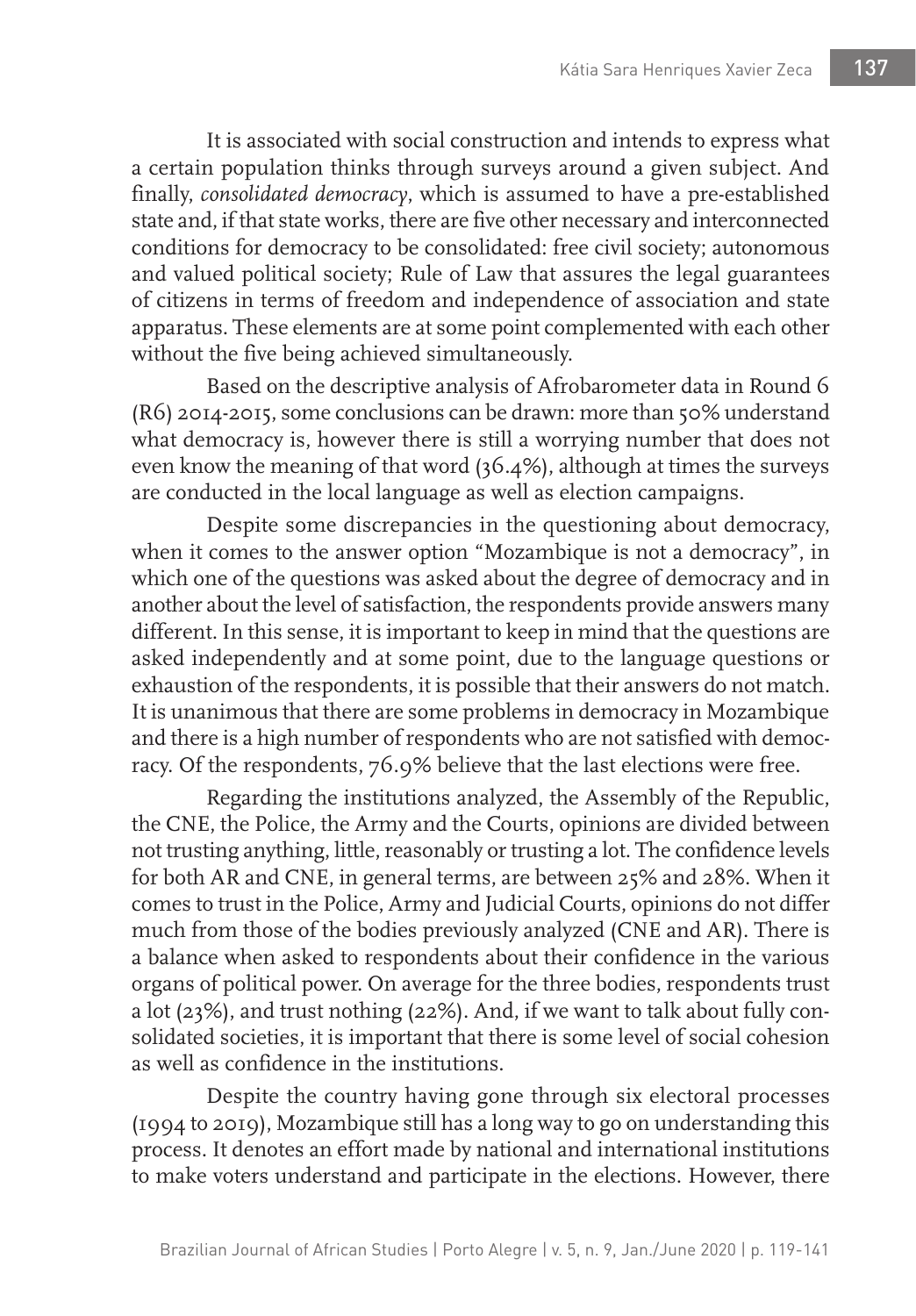It is associated with social construction and intends to express what a certain population thinks through surveys around a given subject. And finally, *consolidated democracy*, which is assumed to have a pre-established state and, if that state works, there are five other necessary and interconnected conditions for democracy to be consolidated: free civil society; autonomous and valued political society; Rule of Law that assures the legal guarantees of citizens in terms of freedom and independence of association and state apparatus. These elements are at some point complemented with each other without the five being achieved simultaneously.

Based on the descriptive analysis of Afrobarometer data in Round 6 (R6) 2014-2015, some conclusions can be drawn: more than 50% understand what democracy is, however there is still a worrying number that does not even know the meaning of that word (36.4%), although at times the surveys are conducted in the local language as well as election campaigns.

Despite some discrepancies in the questioning about democracy, when it comes to the answer option "Mozambique is not a democracy", in which one of the questions was asked about the degree of democracy and in another about the level of satisfaction, the respondents provide answers many different. In this sense, it is important to keep in mind that the questions are asked independently and at some point, due to the language questions or exhaustion of the respondents, it is possible that their answers do not match. It is unanimous that there are some problems in democracy in Mozambique and there is a high number of respondents who are not satisfied with democracy. Of the respondents, 76.9% believe that the last elections were free.

Regarding the institutions analyzed, the Assembly of the Republic, the CNE, the Police, the Army and the Courts, opinions are divided between not trusting anything, little, reasonably or trusting a lot. The confidence levels for both AR and CNE, in general terms, are between 25% and 28%. When it comes to trust in the Police, Army and Judicial Courts, opinions do not differ much from those of the bodies previously analyzed (CNE and AR). There is a balance when asked to respondents about their confidence in the various organs of political power. On average for the three bodies, respondents trust a lot (23%), and trust nothing (22%). And, if we want to talk about fully consolidated societies, it is important that there is some level of social cohesion as well as confidence in the institutions.

Despite the country having gone through six electoral processes (1994 to 2019), Mozambique still has a long way to go on understanding this process. It denotes an effort made by national and international institutions to make voters understand and participate in the elections. However, there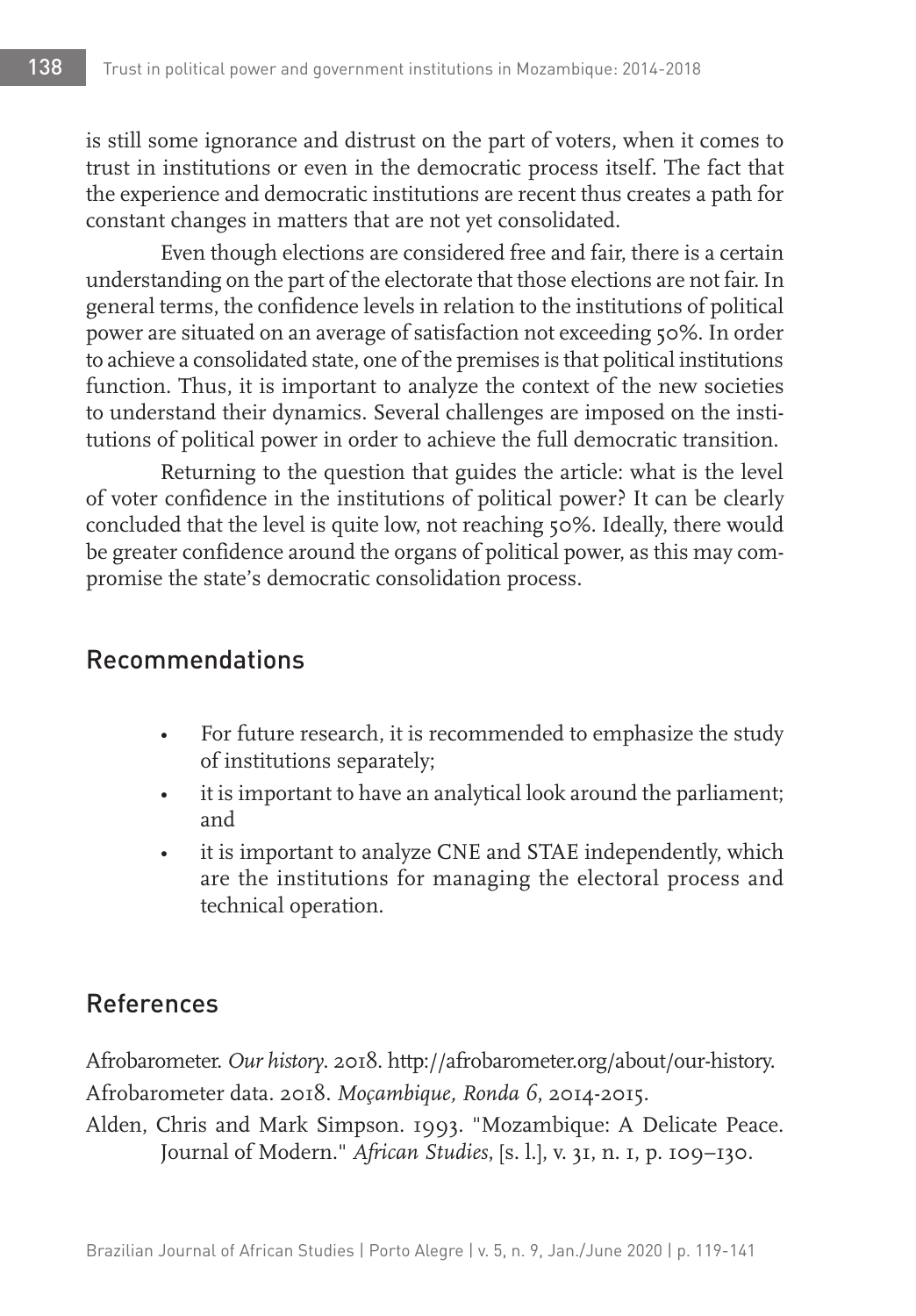is still some ignorance and distrust on the part of voters, when it comes to trust in institutions or even in the democratic process itself. The fact that the experience and democratic institutions are recent thus creates a path for constant changes in matters that are not yet consolidated.

Even though elections are considered free and fair, there is a certain understanding on the part of the electorate that those elections are not fair. In general terms, the confidence levels in relation to the institutions of political power are situated on an average of satisfaction not exceeding 50%. In order to achieve a consolidated state, one of the premises is that political institutions function. Thus, it is important to analyze the context of the new societies to understand their dynamics. Several challenges are imposed on the institutions of political power in order to achieve the full democratic transition.

Returning to the question that guides the article: what is the level of voter confidence in the institutions of political power? It can be clearly concluded that the level is quite low, not reaching 50%. Ideally, there would be greater confidence around the organs of political power, as this may compromise the state's democratic consolidation process.

# Recommendations

- For future research, it is recommended to emphasize the study of institutions separately;
- it is important to have an analytical look around the parliament; and
- it is important to analyze CNE and STAE independently, which are the institutions for managing the electoral process and technical operation.

# References

Afrobarometer. *Our history*. 2018. http://afrobarometer.org/about/our-history. Afrobarometer data. 2018. *Moçambique, Ronda 6*, 2014-2015.

Alden, Chris and Mark Simpson. 1993. "Mozambique: A Delicate Peace. Journal of Modern." *African Studies*, [s. l.], v. 31, n. 1, p. 109–130.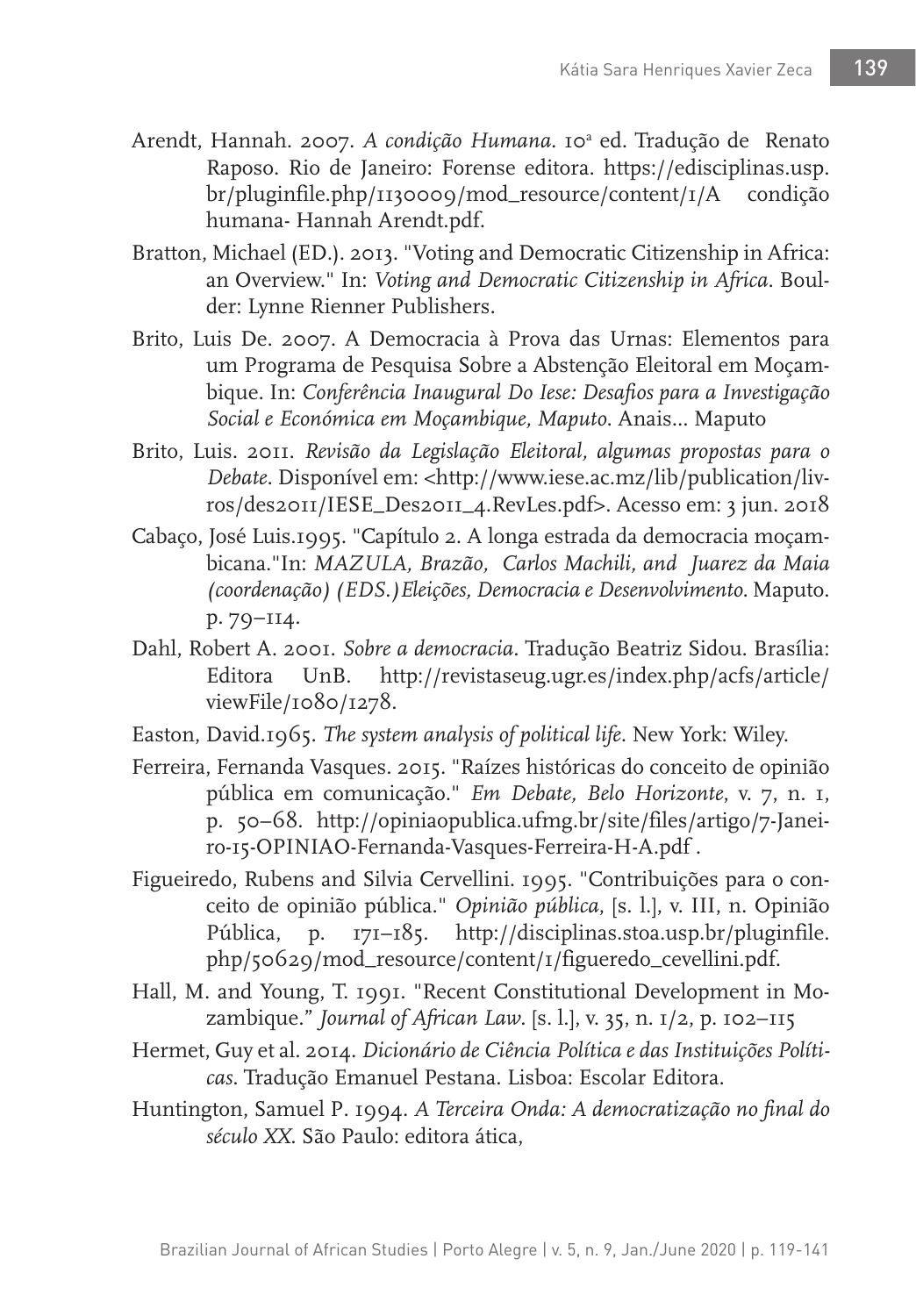- Arendt, Hannah. 2007. A condição Humana. 10<sup>ª</sup> ed. Tradução de Renato Raposo. Rio de Janeiro: Forense editora. https://edisciplinas.usp. br/pluginfile.php/1130009/mod\_resource/content/1/A condição humana- Hannah Arendt.pdf.
- Bratton, Michael (ED.). 2013. "Voting and Democratic Citizenship in Africa: an Overview." In: *Voting and Democratic Citizenship in Africa*. Boulder: Lynne Rienner Publishers.
- Brito, Luis De. 2007. A Democracia à Prova das Urnas: Elementos para um Programa de Pesquisa Sobre a Abstenção Eleitoral em Moçambique. In: *Conferência Inaugural Do Iese: Desafios para a Investigação Social e Económica em Moçambique, Maputo*. Anais... Maputo
- Brito, Luis. 2011. *Revisão da Legislação Eleitoral, algumas propostas para o Debate*. Disponível em: <http://www.iese.ac.mz/lib/publication/livros/des2011/IESE\_Des2011\_4.RevLes.pdf>. Acesso em: 3 jun. 2018
- Cabaço, José Luis.1995. "Capítulo 2. A longa estrada da democracia moçambicana."In: *MAZULA, Brazão, Carlos Machili, and Juarez da Maia (coordenação) (EDS.)Eleições, Democracia e Desenvolvimento*. Maputo. p. 79–114.
- Dahl, Robert A. 2001. *Sobre a democracia*. Tradução Beatriz Sidou. Brasília: Editora UnB. http://revistaseug.ugr.es/index.php/acfs/article/ viewFile/1080/1278.
- Easton, David.1965. *The system analysis of political life*. New York: Wiley.
- Ferreira, Fernanda Vasques. 2015. "Raízes históricas do conceito de opinião pública em comunicação." *Em Debate, Belo Horizonte*, v. 7, n. 1, p. 50–68. http://opiniaopublica.ufmg.br/site/files/artigo/7-Janeiro-15-OPINIAO-Fernanda-Vasques-Ferreira-H-A.pdf .
- Figueiredo, Rubens and Silvia Cervellini. 1995. "Contribuições para o conceito de opinião pública." *Opinião pública*, [s. l.], v. III, n. Opinião Pública, p. 171–185. http://disciplinas.stoa.usp.br/pluginfile. php/50629/mod\_resource/content/1/figueredo\_cevellini.pdf.
- Hall, M. and Young, T. 1991. "Recent Constitutional Development in Mozambique." *Journal of African Law*. [s. l.], v. 35, n. 1/2, p. 102–115
- Hermet, Guy et al. 2014. *Dicionário de Ciência Política e das Instituições Políticas*. Tradução Emanuel Pestana. Lisboa: Escolar Editora.
- Huntington, Samuel P. 1994. *A Terceira Onda: A democratização no final do século XX*. São Paulo: editora ática,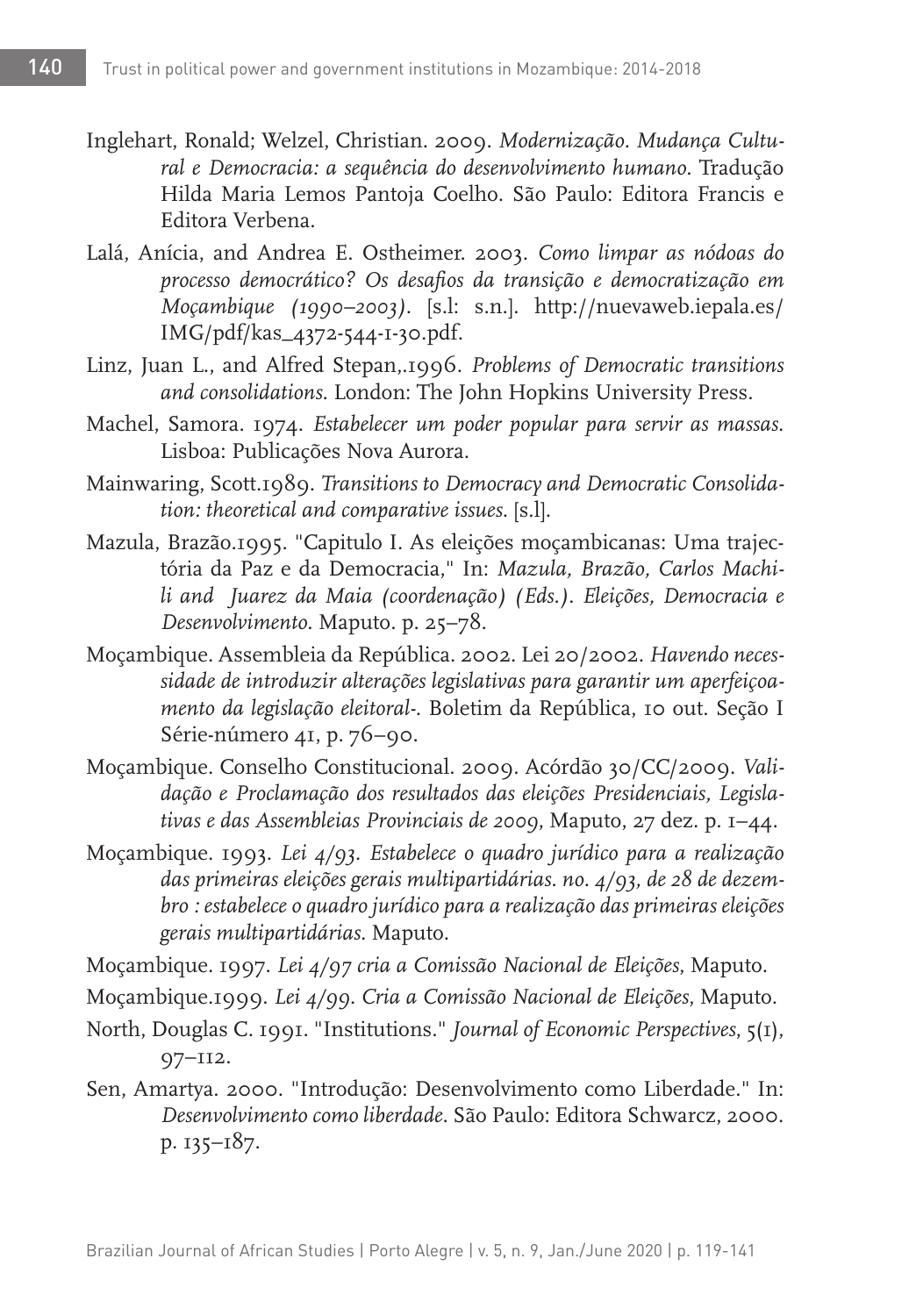- Inglehart, Ronald; Welzel, Christian. 2009. *Modernização. Mudança Cultural e Democracia: a sequência do desenvolvimento humano*. Tradução Hilda Maria Lemos Pantoja Coelho. São Paulo: Editora Francis e Editora Verbena.
- Lalá, Anícia, and Andrea E. Ostheimer. 2003. *Como limpar as nódoas do processo democrático? Os desafios da transição e democratização em Moçambique (1990–2003)*. [s.l: s.n.]. http://nuevaweb.iepala.es/ IMG/pdf/kas\_4372-544-1-30.pdf.
- Linz, Juan L., and Alfred Stepan,.1996. *Problems of Democratic transitions and consolidations*. London: The John Hopkins University Press.
- Machel, Samora. 1974. *Estabelecer um poder popular para servir as massas*. Lisboa: Publicações Nova Aurora.
- Mainwaring, Scott.1989. *Transitions to Democracy and Democratic Consolidation: theoretical and comparative issues*. [s.l].
- Mazula, Brazão.1995. "Capitulo I. As eleições moçambicanas: Uma trajectória da Paz e da Democracia," In: *Mazula, Brazão, Carlos Machili and Juarez da Maia (coordenação) (Eds.). Eleições, Democracia e Desenvolvimento*. Maputo. p. 25–78.
- Moçambique. Assembleia da República. 2002. Lei 20/2002. *Havendo necessidade de introduzir alterações legislativas para garantir um aperfeiçoamento da legislação eleitoral-*. Boletim da República, 10 out. Seção I Série-número 41, p. 76–90.
- Moçambique. Conselho Constitucional. 2009. Acórdão 30/CC/2009. *Validação e Proclamação dos resultados das eleições Presidenciais, Legislativas e das Assembleias Provinciais de 2009*, Maputo, 27 dez. p. 1–44.
- Moçambique. 1993. *Lei 4/93. Estabelece o quadro jurídico para a realização das primeiras eleições gerais multipartidárias. no. 4/93, de 28 de dezembro : estabelece o quadro jurídico para a realização das primeiras eleições gerais multipartidárias*. Maputo.
- Moçambique. 1997. *Lei 4/97 cria a Comissão Nacional de Eleições*, Maputo.
- Moçambique.1999. *Lei 4/99. Cria a Comissão Nacional de Eleições*, Maputo.
- North, Douglas C. 1991. "Institutions." *Journal of Economic Perspectives*, 5(1), 97–112.
- Sen, Amartya. 2000. "Introdução: Desenvolvimento como Liberdade." In: *Desenvolvimento como liberdade*. São Paulo: Editora Schwarcz, 2000. p. 135–187.